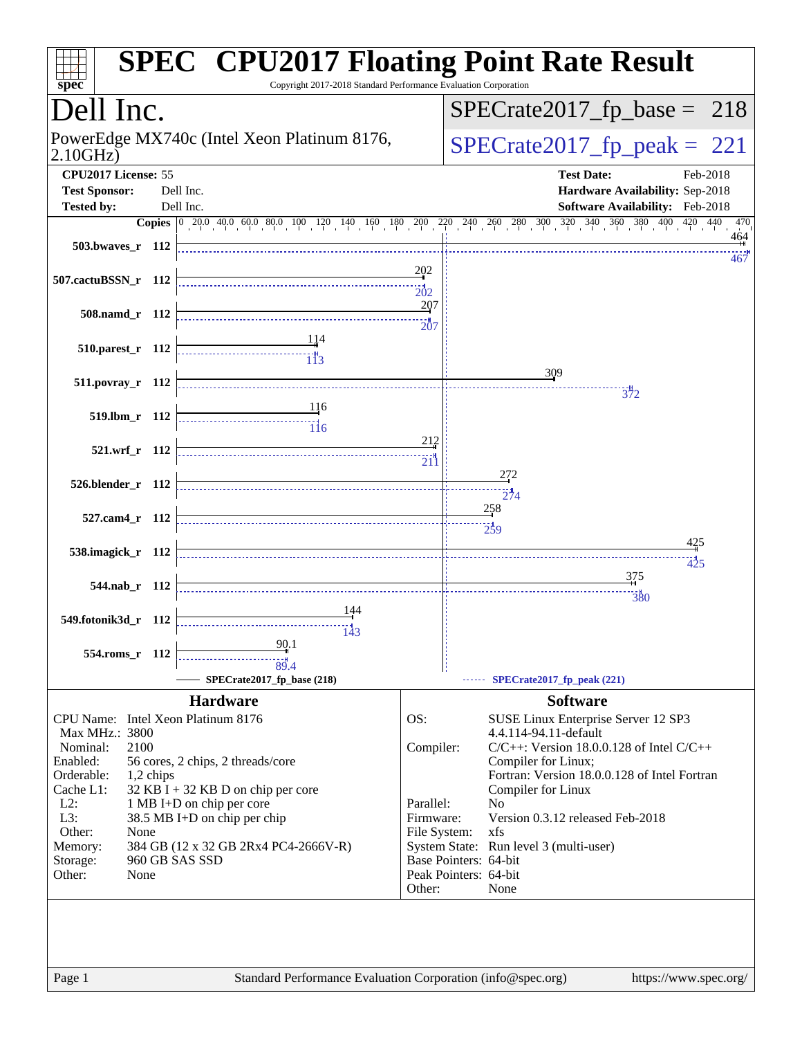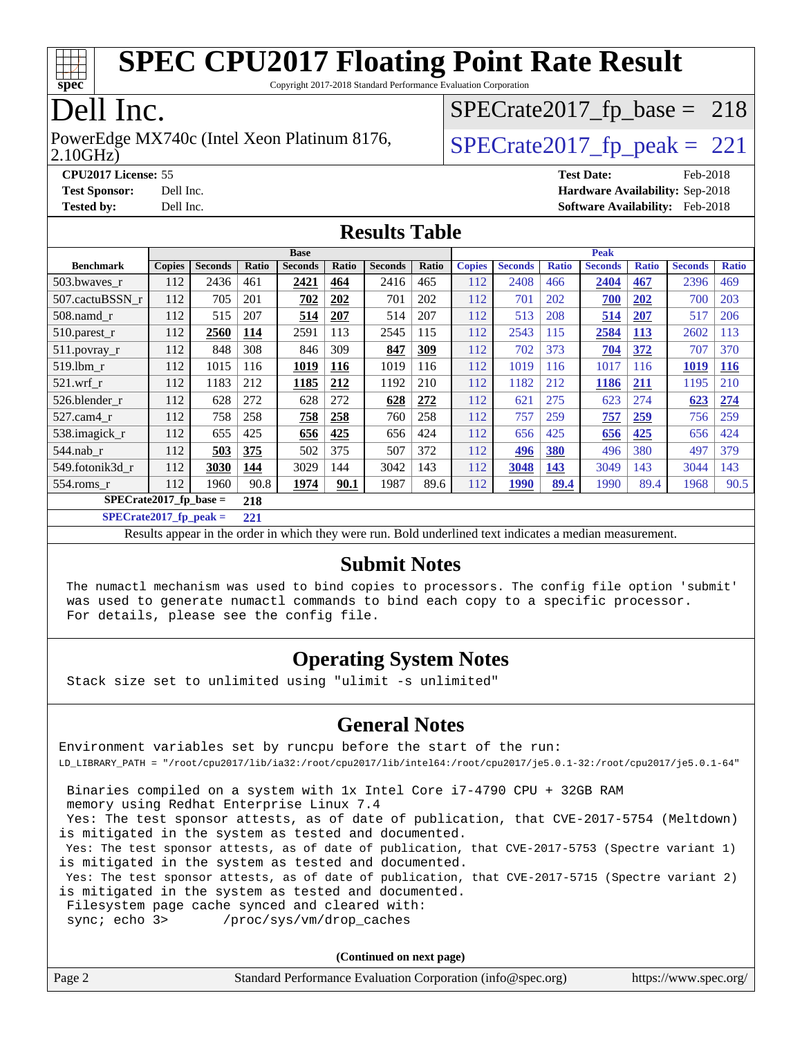

Copyright 2017-2018 Standard Performance Evaluation Corporation

### Dell Inc.

2.10GHz) PowerEdge MX740c (Intel Xeon Platinum 8176,  $\vert$ [SPECrate2017\\_fp\\_peak =](http://www.spec.org/auto/cpu2017/Docs/result-fields.html#SPECrate2017fppeak) 221

 $SPECTate2017_fp\_base = 218$ 

**[CPU2017 License:](http://www.spec.org/auto/cpu2017/Docs/result-fields.html#CPU2017License)** 55 **[Test Date:](http://www.spec.org/auto/cpu2017/Docs/result-fields.html#TestDate)** Feb-2018 **[Test Sponsor:](http://www.spec.org/auto/cpu2017/Docs/result-fields.html#TestSponsor)** Dell Inc. **[Hardware Availability:](http://www.spec.org/auto/cpu2017/Docs/result-fields.html#HardwareAvailability)** Sep-2018

**[Tested by:](http://www.spec.org/auto/cpu2017/Docs/result-fields.html#Testedby)** Dell Inc. **[Software Availability:](http://www.spec.org/auto/cpu2017/Docs/result-fields.html#SoftwareAvailability)** Feb-2018

#### **[Results Table](http://www.spec.org/auto/cpu2017/Docs/result-fields.html#ResultsTable)**

|                          | <b>Base</b>   |                |       |                |       |                | <b>Peak</b> |               |                |              |                |              |                |              |
|--------------------------|---------------|----------------|-------|----------------|-------|----------------|-------------|---------------|----------------|--------------|----------------|--------------|----------------|--------------|
| <b>Benchmark</b>         | <b>Copies</b> | <b>Seconds</b> | Ratio | <b>Seconds</b> | Ratio | <b>Seconds</b> | Ratio       | <b>Copies</b> | <b>Seconds</b> | <b>Ratio</b> | <b>Seconds</b> | <b>Ratio</b> | <b>Seconds</b> | <b>Ratio</b> |
| 503.bwayes r             | 112           | 2436           | 461   | 2421           | 464   | 2416           | 465         | 112           | 2408           | 466          | 2404           | 467          | 2396           | 469          |
| 507.cactuBSSN r          | 112           | 705            | 201   | 702            | 202   | 701            | 202         | 112           | 701            | 202          | 700            | 202          | 700            | 203          |
| $508$ .namd $r$          | 112           | 515            | 207   | 514            | 207   | 514            | 207         | 112           | 513            | 208          | 514            | 207          | 517            | 206          |
| 510.parest_r             | 112           | 2560           | 114   | 2591           | 113   | 2545           | 115         | 112           | 2543           | 115          | 2584           | 113          | 2602           | 113          |
| 511.povray_r             | 112           | 848            | 308   | 846            | 309   | 847            | 309         | 112           | 702            | 373          | 704            | 372          | 707            | 370          |
| 519.1bm r                | 112           | 1015           | 116   | 1019           | 116   | 1019           | 116         | 112           | 1019           | 116          | 1017           | 116          | 1019           | <b>116</b>   |
| $521$ .wrf r             | 112           | 1183           | 212   | 1185           | 212   | 1192           | 210         | 112           | 1182           | 212          | 1186           | 211          | 1195           | 210          |
| 526.blender r            | 112           | 628            | 272   | 628            | 272   | 628            | 272         | 112           | 621            | 275          | 623            | 274          | 623            | 274          |
| 527.cam4 r               | 112           | 758            | 258   | 758            | 258   | 760            | 258         | 112           | 757            | 259          | 757            | 259          | 756            | 259          |
| 538.imagick_r            | 112           | 655            | 425   | 656            | 425   | 656            | 424         | 112           | 656            | 425          | 656            | 425          | 656            | 424          |
| $544$ .nab_r             | 112           | 503            | 375   | 502            | 375   | 507            | 372         | 112           | 496            | 380          | 496            | 380          | 497            | 379          |
| 549.fotonik3d r          | 112           | 3030           | 144   | 3029           | 144   | 3042           | 143         | 112           | 3048           | 143          | 3049           | 143          | 3044           | 143          |
| $554$ .roms $r$          | 112           | 1960           | 90.8  | 1974           | 90.1  | 1987           | 89.6        | 112           | <b>1990</b>    | 89.4         | 1990           | 89.4         | 1968           | 90.5         |
| $SPECrate2017$ fp base = |               |                | 218   |                |       |                |             |               |                |              |                |              |                |              |

**[SPECrate2017\\_fp\\_peak =](http://www.spec.org/auto/cpu2017/Docs/result-fields.html#SPECrate2017fppeak) 221**

Results appear in the [order in which they were run.](http://www.spec.org/auto/cpu2017/Docs/result-fields.html#RunOrder) Bold underlined text [indicates a median measurement.](http://www.spec.org/auto/cpu2017/Docs/result-fields.html#Median)

#### **[Submit Notes](http://www.spec.org/auto/cpu2017/Docs/result-fields.html#SubmitNotes)**

 The numactl mechanism was used to bind copies to processors. The config file option 'submit' was used to generate numactl commands to bind each copy to a specific processor. For details, please see the config file.

#### **[Operating System Notes](http://www.spec.org/auto/cpu2017/Docs/result-fields.html#OperatingSystemNotes)**

Stack size set to unlimited using "ulimit -s unlimited"

#### **[General Notes](http://www.spec.org/auto/cpu2017/Docs/result-fields.html#GeneralNotes)**

Environment variables set by runcpu before the start of the run: LD\_LIBRARY\_PATH = "/root/cpu2017/lib/ia32:/root/cpu2017/lib/intel64:/root/cpu2017/je5.0.1-32:/root/cpu2017/je5.0.1-64"

 Binaries compiled on a system with 1x Intel Core i7-4790 CPU + 32GB RAM memory using Redhat Enterprise Linux 7.4 Yes: The test sponsor attests, as of date of publication, that CVE-2017-5754 (Meltdown) is mitigated in the system as tested and documented. Yes: The test sponsor attests, as of date of publication, that CVE-2017-5753 (Spectre variant 1) is mitigated in the system as tested and documented. Yes: The test sponsor attests, as of date of publication, that CVE-2017-5715 (Spectre variant 2) is mitigated in the system as tested and documented. Filesystem page cache synced and cleared with: sync; echo 3> /proc/sys/vm/drop\_caches

**(Continued on next page)**

| Page 2 | Standard Performance Evaluation Corporation (info@spec.org) | https://www.spec.org/ |
|--------|-------------------------------------------------------------|-----------------------|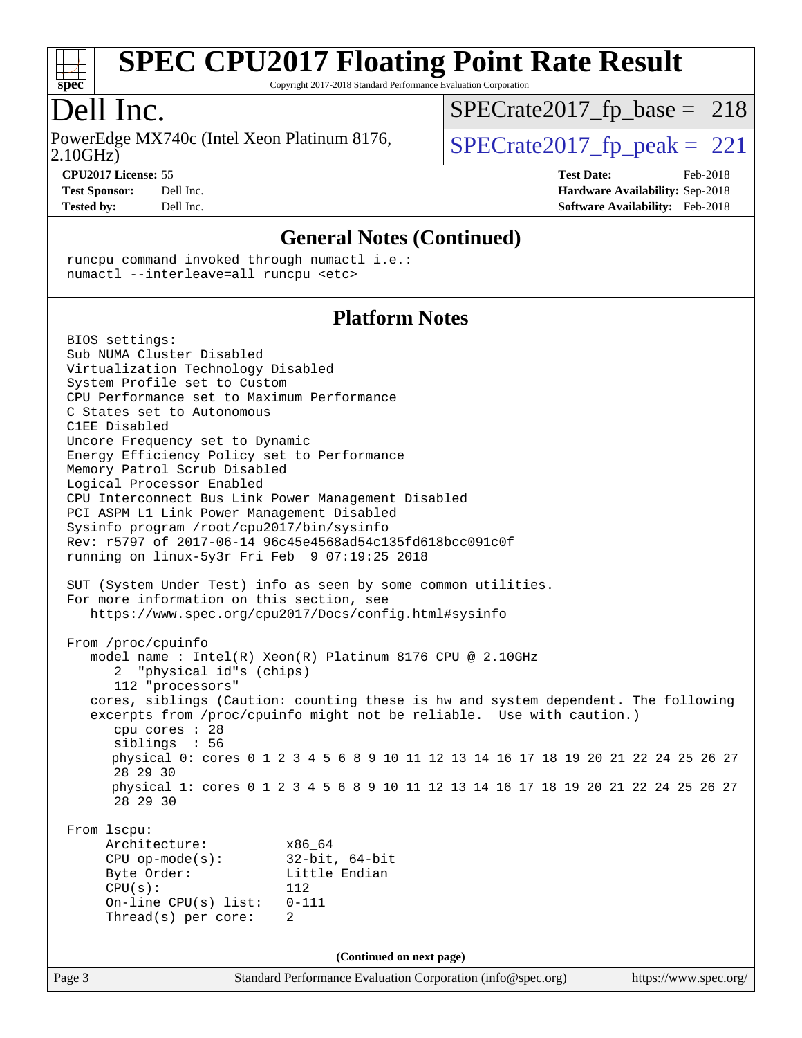

Copyright 2017-2018 Standard Performance Evaluation Corporation

### Dell Inc.

2.10GHz) PowerEdge MX740c (Intel Xeon Platinum 8176,  $\vert$  [SPECrate2017\\_fp\\_peak =](http://www.spec.org/auto/cpu2017/Docs/result-fields.html#SPECrate2017fppeak) 221

 $SPECTate2017_fp\_base = 218$ 

**[CPU2017 License:](http://www.spec.org/auto/cpu2017/Docs/result-fields.html#CPU2017License)** 55 **[Test Date:](http://www.spec.org/auto/cpu2017/Docs/result-fields.html#TestDate)** Feb-2018 **[Test Sponsor:](http://www.spec.org/auto/cpu2017/Docs/result-fields.html#TestSponsor)** Dell Inc. **[Hardware Availability:](http://www.spec.org/auto/cpu2017/Docs/result-fields.html#HardwareAvailability)** Sep-2018 **[Tested by:](http://www.spec.org/auto/cpu2017/Docs/result-fields.html#Testedby)** Dell Inc. **[Software Availability:](http://www.spec.org/auto/cpu2017/Docs/result-fields.html#SoftwareAvailability)** Feb-2018

#### **[General Notes \(Continued\)](http://www.spec.org/auto/cpu2017/Docs/result-fields.html#GeneralNotes)**

 runcpu command invoked through numactl i.e.: numactl --interleave=all runcpu <etc>

#### **[Platform Notes](http://www.spec.org/auto/cpu2017/Docs/result-fields.html#PlatformNotes)**

Page 3 Standard Performance Evaluation Corporation [\(info@spec.org\)](mailto:info@spec.org) <https://www.spec.org/> BIOS settings: Sub NUMA Cluster Disabled Virtualization Technology Disabled System Profile set to Custom CPU Performance set to Maximum Performance C States set to Autonomous C1EE Disabled Uncore Frequency set to Dynamic Energy Efficiency Policy set to Performance Memory Patrol Scrub Disabled Logical Processor Enabled CPU Interconnect Bus Link Power Management Disabled PCI ASPM L1 Link Power Management Disabled Sysinfo program /root/cpu2017/bin/sysinfo Rev: r5797 of 2017-06-14 96c45e4568ad54c135fd618bcc091c0f running on linux-5y3r Fri Feb 9 07:19:25 2018 SUT (System Under Test) info as seen by some common utilities. For more information on this section, see <https://www.spec.org/cpu2017/Docs/config.html#sysinfo> From /proc/cpuinfo model name : Intel(R) Xeon(R) Platinum 8176 CPU @ 2.10GHz 2 "physical id"s (chips) 112 "processors" cores, siblings (Caution: counting these is hw and system dependent. The following excerpts from /proc/cpuinfo might not be reliable. Use with caution.) cpu cores : 28 siblings : 56 physical 0: cores 0 1 2 3 4 5 6 8 9 10 11 12 13 14 16 17 18 19 20 21 22 24 25 26 27 28 29 30 physical 1: cores 0 1 2 3 4 5 6 8 9 10 11 12 13 14 16 17 18 19 20 21 22 24 25 26 27 28 29 30 From lscpu: Architecture: x86\_64 CPU op-mode(s): 32-bit, 64-bit Byte Order: Little Endian CPU(s): 112 On-line CPU(s) list: 0-111 Thread(s) per core: 2 **(Continued on next page)**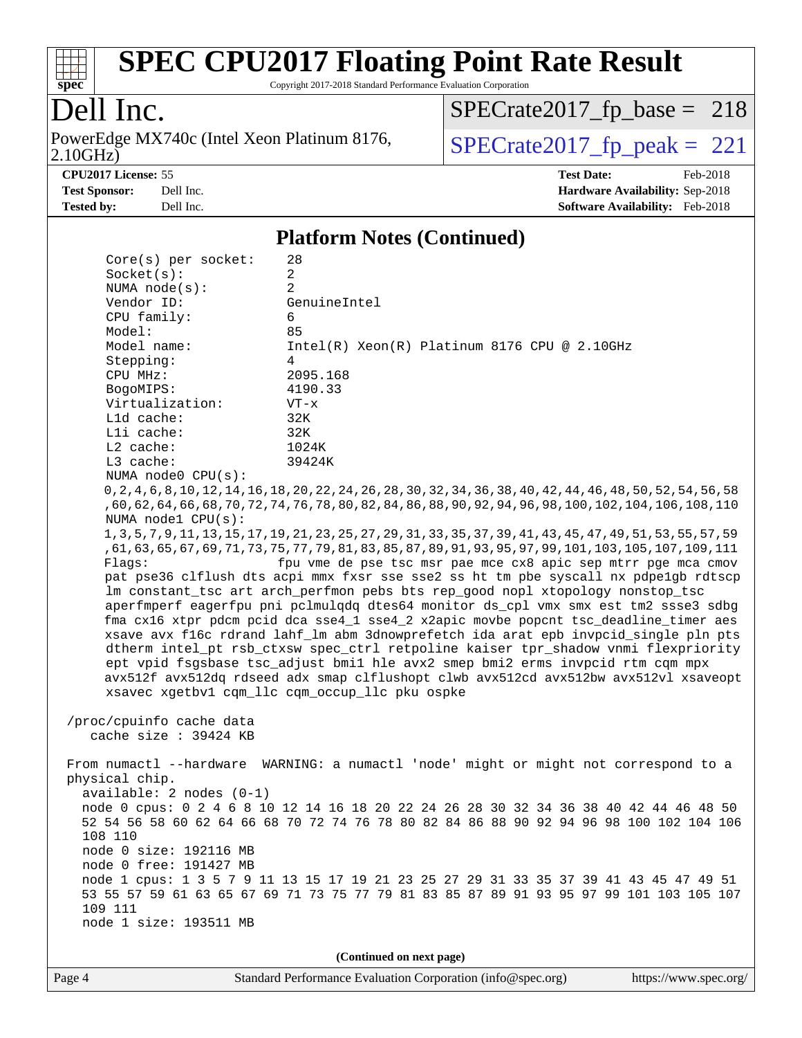

Copyright 2017-2018 Standard Performance Evaluation Corporation

### Dell Inc.

2.10GHz) PowerEdge MX740c (Intel Xeon Platinum 8176,  $\overline{SPECrate2017\_fp\_peak} = 221$ 

 $SPECTate2017_fp\_base = 218$ 

**[CPU2017 License:](http://www.spec.org/auto/cpu2017/Docs/result-fields.html#CPU2017License)** 55 **[Test Date:](http://www.spec.org/auto/cpu2017/Docs/result-fields.html#TestDate)** Feb-2018 **[Test Sponsor:](http://www.spec.org/auto/cpu2017/Docs/result-fields.html#TestSponsor)** Dell Inc. **[Hardware Availability:](http://www.spec.org/auto/cpu2017/Docs/result-fields.html#HardwareAvailability)** Sep-2018 **[Tested by:](http://www.spec.org/auto/cpu2017/Docs/result-fields.html#Testedby)** Dell Inc. **[Software Availability:](http://www.spec.org/auto/cpu2017/Docs/result-fields.html#SoftwareAvailability)** Feb-2018

#### **[Platform Notes \(Continued\)](http://www.spec.org/auto/cpu2017/Docs/result-fields.html#PlatformNotes)**

| $Core(s)$ per socket:                                                                | 28                                                                                                                |  |  |  |  |
|--------------------------------------------------------------------------------------|-------------------------------------------------------------------------------------------------------------------|--|--|--|--|
| Socket(s):                                                                           | $\overline{a}$                                                                                                    |  |  |  |  |
| NUMA $node(s)$ :                                                                     | 2                                                                                                                 |  |  |  |  |
| Vendor ID:                                                                           | GenuineIntel                                                                                                      |  |  |  |  |
| CPU family:                                                                          | 6                                                                                                                 |  |  |  |  |
| Model:                                                                               | 85                                                                                                                |  |  |  |  |
| Model name:                                                                          | $Intel(R) Xeon(R) Platinum 8176 CPU @ 2.10GHz$                                                                    |  |  |  |  |
| Stepping:                                                                            | 4                                                                                                                 |  |  |  |  |
| CPU MHz:                                                                             | 2095.168                                                                                                          |  |  |  |  |
| BogoMIPS:                                                                            | 4190.33                                                                                                           |  |  |  |  |
| Virtualization:                                                                      | $VT - x$                                                                                                          |  |  |  |  |
| L1d cache:                                                                           | 32K                                                                                                               |  |  |  |  |
| Lli cache:                                                                           | 32K                                                                                                               |  |  |  |  |
| $L2$ cache:                                                                          | 1024K                                                                                                             |  |  |  |  |
| L3 cache:                                                                            | 39424K                                                                                                            |  |  |  |  |
| NUMA node0 CPU(s):                                                                   |                                                                                                                   |  |  |  |  |
|                                                                                      | 0, 2, 4, 6, 8, 10, 12, 14, 16, 18, 20, 22, 24, 26, 28, 30, 32, 34, 36, 38, 40, 42, 44, 46, 48, 50, 52, 54, 56, 58 |  |  |  |  |
| NUMA nodel CPU(s):                                                                   | ,60,62,64,66,68,70,72,74,76,78,80,82,84,86,88,90,92,94,96,98,100,102,104,106,108,110                              |  |  |  |  |
|                                                                                      | 1, 3, 5, 7, 9, 11, 13, 15, 17, 19, 21, 23, 25, 27, 29, 31, 33, 35, 37, 39, 41, 43, 45, 47, 49, 51, 53, 55, 57, 59 |  |  |  |  |
|                                                                                      | , 61, 63, 65, 67, 69, 71, 73, 75, 77, 79, 81, 83, 85, 87, 89, 91, 93, 95, 97, 99, 101, 103, 105, 107, 109, 111    |  |  |  |  |
| Flaqs:                                                                               | fpu vme de pse tsc msr pae mce cx8 apic sep mtrr pge mca cmov                                                     |  |  |  |  |
|                                                                                      | pat pse36 clflush dts acpi mmx fxsr sse sse2 ss ht tm pbe syscall nx pdpelgb rdtscp                               |  |  |  |  |
|                                                                                      | lm constant_tsc art arch_perfmon pebs bts rep_good nopl xtopology nonstop_tsc                                     |  |  |  |  |
|                                                                                      | aperfmperf eagerfpu pni pclmulqdq dtes64 monitor ds_cpl vmx smx est tm2 ssse3 sdbg                                |  |  |  |  |
| fma cx16 xtpr pdcm pcid dca sse4_1 sse4_2 x2apic movbe popcnt tsc_deadline_timer aes |                                                                                                                   |  |  |  |  |
| xsave avx f16c rdrand lahf_lm abm 3dnowprefetch ida arat epb invpcid_single pln pts  |                                                                                                                   |  |  |  |  |
| dtherm intel_pt rsb_ctxsw spec_ctrl retpoline kaiser tpr_shadow vnmi flexpriority    |                                                                                                                   |  |  |  |  |
| ept vpid fsgsbase tsc_adjust bmil hle avx2 smep bmi2 erms invpcid rtm cqm mpx        |                                                                                                                   |  |  |  |  |
|                                                                                      | avx512f avx512dq rdseed adx smap clflushopt clwb avx512cd avx512bw avx512vl xsaveopt                              |  |  |  |  |
|                                                                                      | xsavec xgetbv1 cqm_llc cqm_occup_llc pku ospke                                                                    |  |  |  |  |
|                                                                                      |                                                                                                                   |  |  |  |  |
| /proc/cpuinfo cache data                                                             |                                                                                                                   |  |  |  |  |
| cache size : 39424 KB                                                                |                                                                                                                   |  |  |  |  |
|                                                                                      |                                                                                                                   |  |  |  |  |
|                                                                                      | From numactl --hardware WARNING: a numactl 'node' might or might not correspond to a                              |  |  |  |  |
| physical chip.                                                                       |                                                                                                                   |  |  |  |  |
| $available: 2 nodes (0-1)$                                                           |                                                                                                                   |  |  |  |  |
|                                                                                      | node 0 cpus: 0 2 4 6 8 10 12 14 16 18 20 22 24 26 28 30 32 34 36 38 40 42 44 46 48 50                             |  |  |  |  |
|                                                                                      | 52 54 56 58 60 62 64 66 68 70 72 74 76 78 80 82 84 86 88 90 92 94 96 98 100 102 104 106                           |  |  |  |  |
| 108 110                                                                              |                                                                                                                   |  |  |  |  |
| node 0 size: 192116 MB                                                               |                                                                                                                   |  |  |  |  |
| node 0 free: 191427 MB                                                               |                                                                                                                   |  |  |  |  |
|                                                                                      | node 1 cpus: 1 3 5 7 9 11 13 15 17 19 21 23 25 27 29 31 33 35 37 39 41 43 45 47 49 51                             |  |  |  |  |
|                                                                                      | 53 55 57 59 61 63 65 67 69 71 73 75 77 79 81 83 85 87 89 91 93 95 97 99 101 103 105 107                           |  |  |  |  |
| 109 111                                                                              |                                                                                                                   |  |  |  |  |
| node 1 size: 193511 MB                                                               |                                                                                                                   |  |  |  |  |
|                                                                                      |                                                                                                                   |  |  |  |  |
| (Continued on next page)                                                             |                                                                                                                   |  |  |  |  |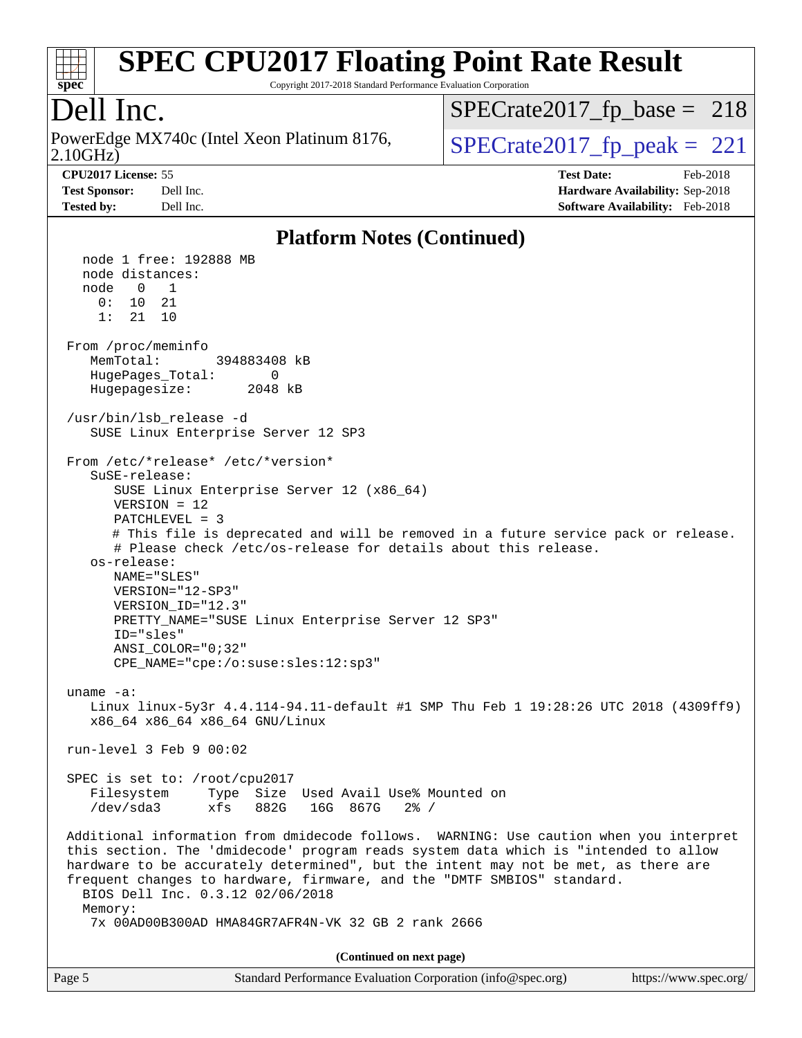

Copyright 2017-2018 Standard Performance Evaluation Corporation

### Dell Inc.

2.10GHz) PowerEdge MX740c (Intel Xeon Platinum 8176,  $\vert$ [SPECrate2017\\_fp\\_peak =](http://www.spec.org/auto/cpu2017/Docs/result-fields.html#SPECrate2017fppeak) 221

 $SPECTate2017_fp\_base = 218$ 

**[CPU2017 License:](http://www.spec.org/auto/cpu2017/Docs/result-fields.html#CPU2017License)** 55 **[Test Date:](http://www.spec.org/auto/cpu2017/Docs/result-fields.html#TestDate)** Feb-2018 **[Test Sponsor:](http://www.spec.org/auto/cpu2017/Docs/result-fields.html#TestSponsor)** Dell Inc. **[Hardware Availability:](http://www.spec.org/auto/cpu2017/Docs/result-fields.html#HardwareAvailability)** Sep-2018 **[Tested by:](http://www.spec.org/auto/cpu2017/Docs/result-fields.html#Testedby)** Dell Inc. **[Software Availability:](http://www.spec.org/auto/cpu2017/Docs/result-fields.html#SoftwareAvailability)** Feb-2018

#### **[Platform Notes \(Continued\)](http://www.spec.org/auto/cpu2017/Docs/result-fields.html#PlatformNotes)**

 node 1 free: 192888 MB node distances: node 0 1  $0: 10 21$  1: 21 10 From /proc/meminfo MemTotal: 394883408 kB HugePages\_Total: 0 Hugepagesize: 2048 kB /usr/bin/lsb\_release -d SUSE Linux Enterprise Server 12 SP3 From /etc/\*release\* /etc/\*version\* SuSE-release: SUSE Linux Enterprise Server 12 (x86\_64) VERSION = 12 PATCHLEVEL = 3 # This file is deprecated and will be removed in a future service pack or release. # Please check /etc/os-release for details about this release. os-release: NAME="SLES" VERSION="12-SP3" VERSION\_ID="12.3" PRETTY\_NAME="SUSE Linux Enterprise Server 12 SP3" ID="sles" ANSI\_COLOR="0;32" CPE\_NAME="cpe:/o:suse:sles:12:sp3" uname -a: Linux linux-5y3r 4.4.114-94.11-default #1 SMP Thu Feb 1 19:28:26 UTC 2018 (4309ff9) x86\_64 x86\_64 x86\_64 GNU/Linux run-level 3 Feb 9 00:02 SPEC is set to: /root/cpu2017 Filesystem Type Size Used Avail Use% Mounted on /dev/sda3 xfs 882G 16G 867G 2% / Additional information from dmidecode follows. WARNING: Use caution when you interpret this section. The 'dmidecode' program reads system data which is "intended to allow hardware to be accurately determined", but the intent may not be met, as there are frequent changes to hardware, firmware, and the "DMTF SMBIOS" standard. BIOS Dell Inc. 0.3.12 02/06/2018 Memory: 7x 00AD00B300AD HMA84GR7AFR4N-VK 32 GB 2 rank 2666 **(Continued on next page)**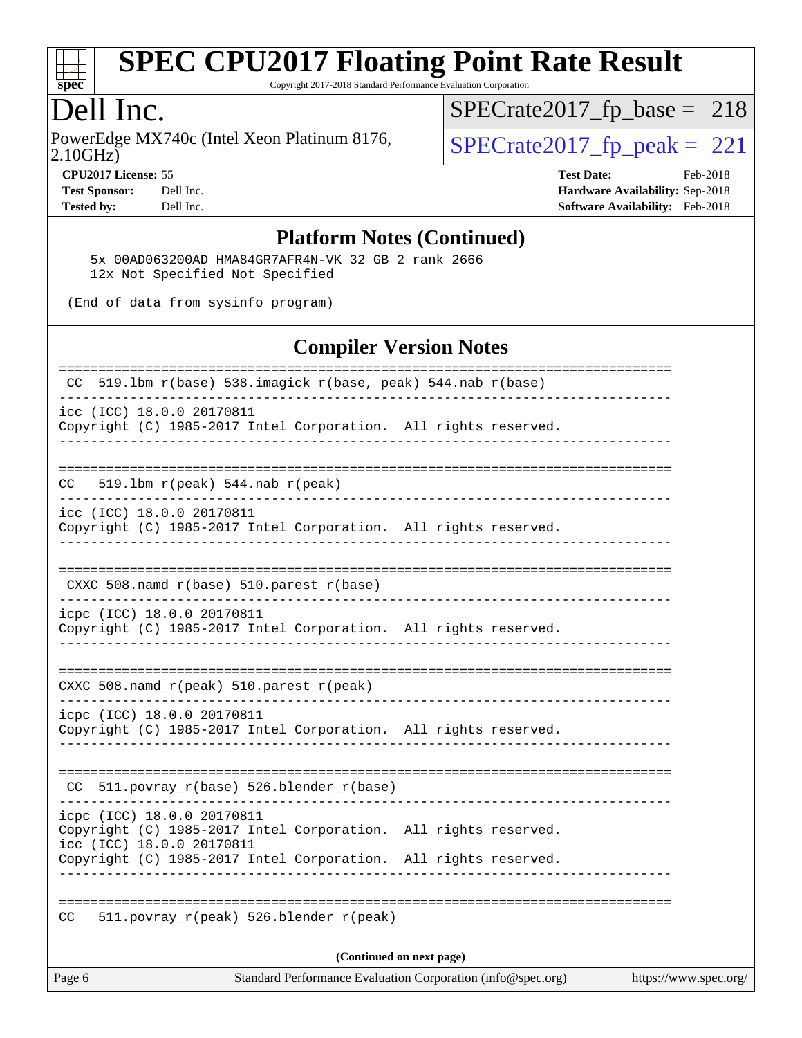

Copyright 2017-2018 Standard Performance Evaluation Corporation

### Dell Inc.

2.10GHz) PowerEdge MX740c (Intel Xeon Platinum 8176,  $\overline{SPECrate2017\_fp\_peak} = 221$ 

 $SPECTate2017_fp\_base = 218$ 

**[CPU2017 License:](http://www.spec.org/auto/cpu2017/Docs/result-fields.html#CPU2017License)** 55 **[Test Date:](http://www.spec.org/auto/cpu2017/Docs/result-fields.html#TestDate)** Feb-2018 **[Test Sponsor:](http://www.spec.org/auto/cpu2017/Docs/result-fields.html#TestSponsor)** Dell Inc. **[Hardware Availability:](http://www.spec.org/auto/cpu2017/Docs/result-fields.html#HardwareAvailability)** Sep-2018 **[Tested by:](http://www.spec.org/auto/cpu2017/Docs/result-fields.html#Testedby)** Dell Inc. **[Software Availability:](http://www.spec.org/auto/cpu2017/Docs/result-fields.html#SoftwareAvailability)** Feb-2018

#### **[Platform Notes \(Continued\)](http://www.spec.org/auto/cpu2017/Docs/result-fields.html#PlatformNotes)**

 5x 00AD063200AD HMA84GR7AFR4N-VK 32 GB 2 rank 2666 12x Not Specified Not Specified

(End of data from sysinfo program)

#### **[Compiler Version Notes](http://www.spec.org/auto/cpu2017/Docs/result-fields.html#CompilerVersionNotes)**

| CC.    | 519.1bm_r(peak) 544.nab_r(peak)                                                                                                                                                               |  |
|--------|-----------------------------------------------------------------------------------------------------------------------------------------------------------------------------------------------|--|
|        | icc (ICC) 18.0.0 20170811<br>Copyright (C) 1985-2017 Intel Corporation. All rights reserved.                                                                                                  |  |
|        | $CXXC 508.namd_r(base) 510.parest_r(base)$                                                                                                                                                    |  |
|        | icpc (ICC) 18.0.0 20170811<br>Copyright (C) 1985-2017 Intel Corporation. All rights reserved.                                                                                                 |  |
|        | CXXC 508.namd_r(peak) 510.parest_r(peak)                                                                                                                                                      |  |
|        | icpc (ICC) 18.0.0 20170811<br>Copyright (C) 1985-2017 Intel Corporation. All rights reserved.                                                                                                 |  |
|        | CC 511.povray_r(base) 526.blender_r(base)                                                                                                                                                     |  |
|        | icpc (ICC) 18.0.0 20170811<br>Copyright (C) 1985-2017 Intel Corporation. All rights reserved.<br>icc (ICC) 18.0.0 20170811<br>Copyright (C) 1985-2017 Intel Corporation. All rights reserved. |  |
| CC.    | 511.povray_r(peak) 526.blender_r(peak)                                                                                                                                                        |  |
|        | (Continued on next page)                                                                                                                                                                      |  |
| Page 6 | Standard Performance Evaluation Corporation (info@spec.org)<br>https://www.spec.org/                                                                                                          |  |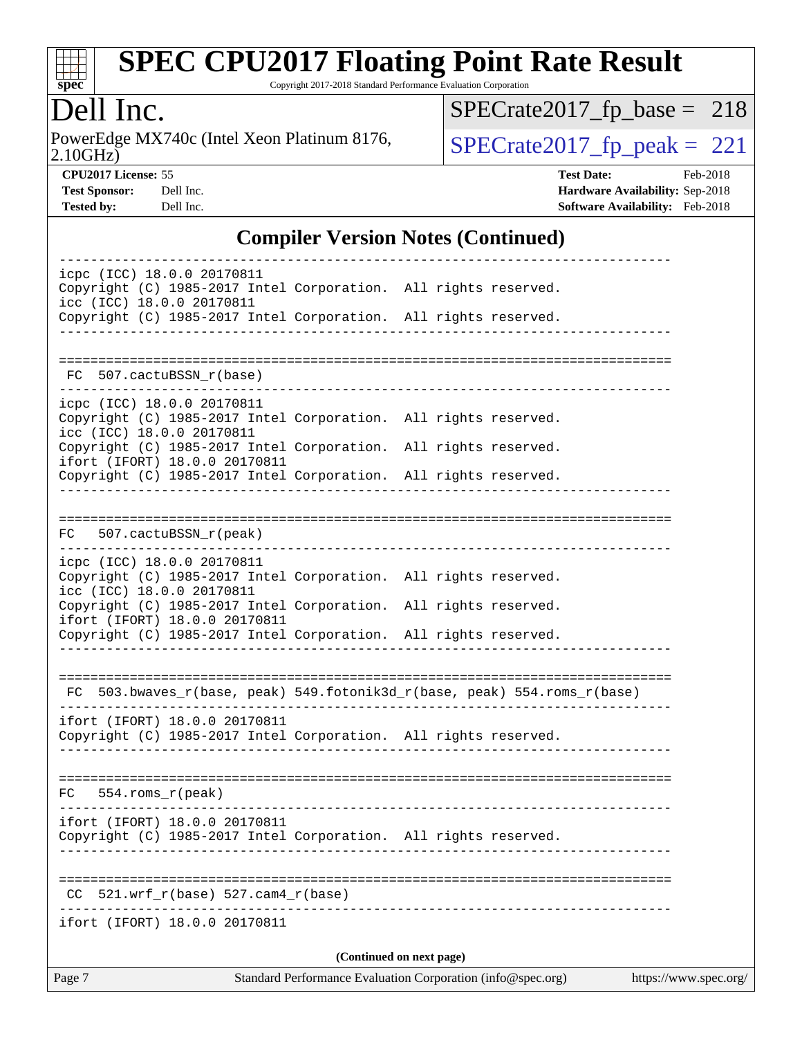

Copyright 2017-2018 Standard Performance Evaluation Corporation

### Dell Inc.

2.10GHz) PowerEdge MX740c (Intel Xeon Platinum 8176,  $\overline{SPECrate2017\_fp\_peak} = 221$ 

 $SPECrate2017_fp\_base = 218$ 

**[CPU2017 License:](http://www.spec.org/auto/cpu2017/Docs/result-fields.html#CPU2017License)** 55 **[Test Date:](http://www.spec.org/auto/cpu2017/Docs/result-fields.html#TestDate)** Feb-2018 **[Test Sponsor:](http://www.spec.org/auto/cpu2017/Docs/result-fields.html#TestSponsor)** Dell Inc. **[Hardware Availability:](http://www.spec.org/auto/cpu2017/Docs/result-fields.html#HardwareAvailability)** Sep-2018 **[Tested by:](http://www.spec.org/auto/cpu2017/Docs/result-fields.html#Testedby)** Dell Inc. **[Software Availability:](http://www.spec.org/auto/cpu2017/Docs/result-fields.html#SoftwareAvailability)** Feb-2018

#### **[Compiler Version Notes \(Continued\)](http://www.spec.org/auto/cpu2017/Docs/result-fields.html#CompilerVersionNotes)**

| Page 7 |                                                                                          |                           | (Continued on next page)<br>Standard Performance Evaluation Corporation (info@spec.org)                                            | https://www.spec.org/ |
|--------|------------------------------------------------------------------------------------------|---------------------------|------------------------------------------------------------------------------------------------------------------------------------|-----------------------|
|        | ifort (IFORT) 18.0.0 20170811                                                            |                           |                                                                                                                                    |                       |
| CC.    | $521.wrf_r(base) 527.cam4_r(base)$                                                       |                           |                                                                                                                                    |                       |
|        | ifort (IFORT) 18.0.0 20170811                                                            |                           | Copyright (C) 1985-2017 Intel Corporation. All rights reserved.                                                                    |                       |
|        | $FC$ 554.roms $r$ (peak)                                                                 |                           |                                                                                                                                    |                       |
|        | ifort (IFORT) 18.0.0 20170811                                                            |                           | Copyright (C) 1985-2017 Intel Corporation. All rights reserved.                                                                    |                       |
|        |                                                                                          |                           | FC 503.bwaves_r(base, peak) 549.fotonik3d_r(base, peak) 554.roms_r(base)                                                           |                       |
|        | icc (ICC) 18.0.0 20170811<br>ifort (IFORT) 18.0.0 20170811                               |                           | Copyright (C) 1985-2017 Intel Corporation. All rights reserved.<br>Copyright (C) 1985-2017 Intel Corporation. All rights reserved. |                       |
|        | icpc (ICC) 18.0.0 20170811                                                               |                           | Copyright (C) 1985-2017 Intel Corporation. All rights reserved.                                                                    |                       |
| FC     | 507.cactuBSSN_r(peak)                                                                    |                           |                                                                                                                                    |                       |
|        |                                                                                          |                           | Copyright (C) 1985-2017 Intel Corporation. All rights reserved.                                                                    |                       |
|        | icpc (ICC) 18.0.0 20170811<br>icc (ICC) 18.0.0 20170811<br>ifort (IFORT) 18.0.0 20170811 |                           | Copyright (C) 1985-2017 Intel Corporation. All rights reserved.<br>Copyright (C) 1985-2017 Intel Corporation. All rights reserved. |                       |
|        | FC 507.cactuBSSN r(base)                                                                 |                           |                                                                                                                                    |                       |
|        | icc (ICC) 18.0.0 20170811                                                                | _________________________ | Copyright (C) 1985-2017 Intel Corporation. All rights reserved.                                                                    |                       |
|        | icpc (ICC) 18.0.0 20170811                                                               |                           | Copyright (C) 1985-2017 Intel Corporation. All rights reserved.                                                                    |                       |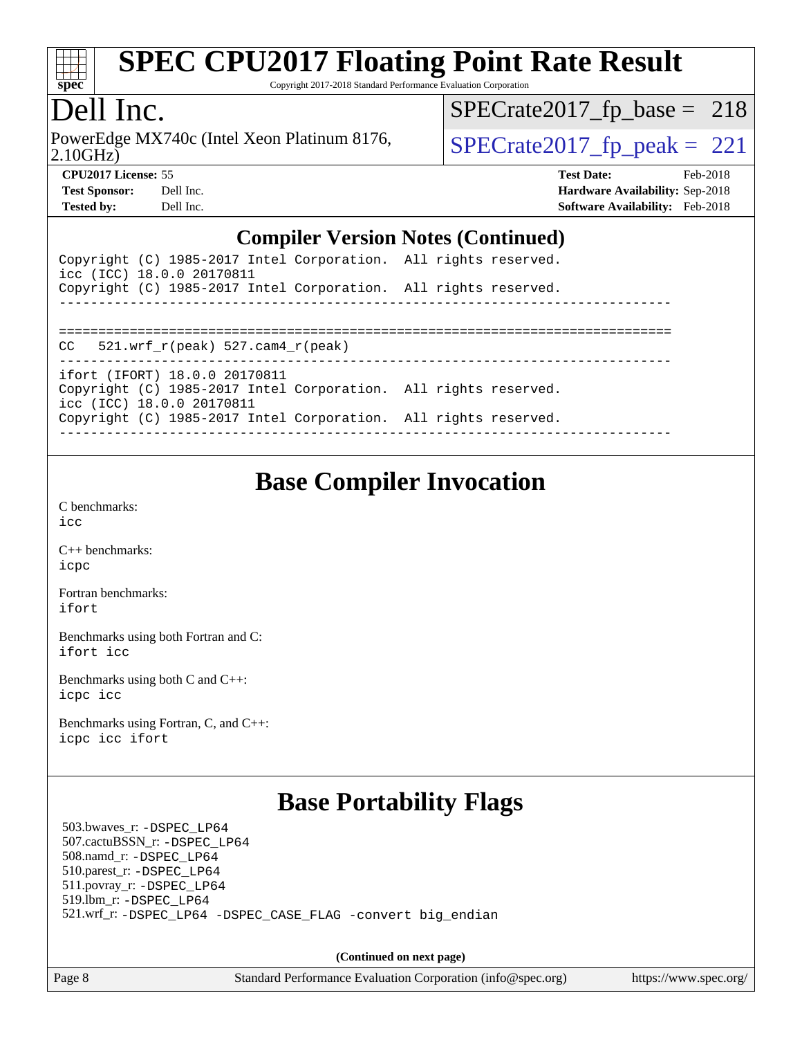

Copyright 2017-2018 Standard Performance Evaluation Corporation

### Dell Inc.

2.10GHz) PowerEdge MX740c (Intel Xeon Platinum 8176,  $\vert$ [SPECrate2017\\_fp\\_peak =](http://www.spec.org/auto/cpu2017/Docs/result-fields.html#SPECrate2017fppeak) 221

 $SPECTate2017_fp\_base = 218$ 

**[CPU2017 License:](http://www.spec.org/auto/cpu2017/Docs/result-fields.html#CPU2017License)** 55 **[Test Date:](http://www.spec.org/auto/cpu2017/Docs/result-fields.html#TestDate)** Feb-2018 **[Test Sponsor:](http://www.spec.org/auto/cpu2017/Docs/result-fields.html#TestSponsor)** Dell Inc. **[Hardware Availability:](http://www.spec.org/auto/cpu2017/Docs/result-fields.html#HardwareAvailability)** Sep-2018 **[Tested by:](http://www.spec.org/auto/cpu2017/Docs/result-fields.html#Testedby)** Dell Inc. **[Software Availability:](http://www.spec.org/auto/cpu2017/Docs/result-fields.html#SoftwareAvailability)** Feb-2018

#### **[Compiler Version Notes \(Continued\)](http://www.spec.org/auto/cpu2017/Docs/result-fields.html#CompilerVersionNotes)**

| Copyright (C) 1985-2017 Intel Corporation. All rights reserved.<br>icc (ICC) 18.0.0 20170811 |  |
|----------------------------------------------------------------------------------------------|--|
| Copyright (C) 1985-2017 Intel Corporation. All rights reserved.                              |  |
|                                                                                              |  |
| 521.wrf $r(\text{peak})$ 527.cam4 $r(\text{peak})$<br>CC                                     |  |
| ifort (IFORT) 18.0.0 20170811                                                                |  |
| Copyright (C) 1985-2017 Intel Corporation. All rights reserved.<br>icc (ICC) 18.0.0 20170811 |  |
| Copyright (C) 1985-2017 Intel Corporation. All rights reserved.                              |  |
|                                                                                              |  |

#### **[Base Compiler Invocation](http://www.spec.org/auto/cpu2017/Docs/result-fields.html#BaseCompilerInvocation)**

[C benchmarks](http://www.spec.org/auto/cpu2017/Docs/result-fields.html#Cbenchmarks): [icc](http://www.spec.org/cpu2017/results/res2018q4/cpu2017-20181001-09002.flags.html#user_CCbase_intel_icc_18.0_66fc1ee009f7361af1fbd72ca7dcefbb700085f36577c54f309893dd4ec40d12360134090235512931783d35fd58c0460139e722d5067c5574d8eaf2b3e37e92)

[C++ benchmarks:](http://www.spec.org/auto/cpu2017/Docs/result-fields.html#CXXbenchmarks) [icpc](http://www.spec.org/cpu2017/results/res2018q4/cpu2017-20181001-09002.flags.html#user_CXXbase_intel_icpc_18.0_c510b6838c7f56d33e37e94d029a35b4a7bccf4766a728ee175e80a419847e808290a9b78be685c44ab727ea267ec2f070ec5dc83b407c0218cded6866a35d07)

[Fortran benchmarks](http://www.spec.org/auto/cpu2017/Docs/result-fields.html#Fortranbenchmarks): [ifort](http://www.spec.org/cpu2017/results/res2018q4/cpu2017-20181001-09002.flags.html#user_FCbase_intel_ifort_18.0_8111460550e3ca792625aed983ce982f94888b8b503583aa7ba2b8303487b4d8a21a13e7191a45c5fd58ff318f48f9492884d4413fa793fd88dd292cad7027ca)

[Benchmarks using both Fortran and C](http://www.spec.org/auto/cpu2017/Docs/result-fields.html#BenchmarksusingbothFortranandC): [ifort](http://www.spec.org/cpu2017/results/res2018q4/cpu2017-20181001-09002.flags.html#user_CC_FCbase_intel_ifort_18.0_8111460550e3ca792625aed983ce982f94888b8b503583aa7ba2b8303487b4d8a21a13e7191a45c5fd58ff318f48f9492884d4413fa793fd88dd292cad7027ca) [icc](http://www.spec.org/cpu2017/results/res2018q4/cpu2017-20181001-09002.flags.html#user_CC_FCbase_intel_icc_18.0_66fc1ee009f7361af1fbd72ca7dcefbb700085f36577c54f309893dd4ec40d12360134090235512931783d35fd58c0460139e722d5067c5574d8eaf2b3e37e92)

[Benchmarks using both C and C++](http://www.spec.org/auto/cpu2017/Docs/result-fields.html#BenchmarksusingbothCandCXX): [icpc](http://www.spec.org/cpu2017/results/res2018q4/cpu2017-20181001-09002.flags.html#user_CC_CXXbase_intel_icpc_18.0_c510b6838c7f56d33e37e94d029a35b4a7bccf4766a728ee175e80a419847e808290a9b78be685c44ab727ea267ec2f070ec5dc83b407c0218cded6866a35d07) [icc](http://www.spec.org/cpu2017/results/res2018q4/cpu2017-20181001-09002.flags.html#user_CC_CXXbase_intel_icc_18.0_66fc1ee009f7361af1fbd72ca7dcefbb700085f36577c54f309893dd4ec40d12360134090235512931783d35fd58c0460139e722d5067c5574d8eaf2b3e37e92)

[Benchmarks using Fortran, C, and C++:](http://www.spec.org/auto/cpu2017/Docs/result-fields.html#BenchmarksusingFortranCandCXX) [icpc](http://www.spec.org/cpu2017/results/res2018q4/cpu2017-20181001-09002.flags.html#user_CC_CXX_FCbase_intel_icpc_18.0_c510b6838c7f56d33e37e94d029a35b4a7bccf4766a728ee175e80a419847e808290a9b78be685c44ab727ea267ec2f070ec5dc83b407c0218cded6866a35d07) [icc](http://www.spec.org/cpu2017/results/res2018q4/cpu2017-20181001-09002.flags.html#user_CC_CXX_FCbase_intel_icc_18.0_66fc1ee009f7361af1fbd72ca7dcefbb700085f36577c54f309893dd4ec40d12360134090235512931783d35fd58c0460139e722d5067c5574d8eaf2b3e37e92) [ifort](http://www.spec.org/cpu2017/results/res2018q4/cpu2017-20181001-09002.flags.html#user_CC_CXX_FCbase_intel_ifort_18.0_8111460550e3ca792625aed983ce982f94888b8b503583aa7ba2b8303487b4d8a21a13e7191a45c5fd58ff318f48f9492884d4413fa793fd88dd292cad7027ca)

#### **[Base Portability Flags](http://www.spec.org/auto/cpu2017/Docs/result-fields.html#BasePortabilityFlags)**

 503.bwaves\_r: [-DSPEC\\_LP64](http://www.spec.org/cpu2017/results/res2018q4/cpu2017-20181001-09002.flags.html#suite_basePORTABILITY503_bwaves_r_DSPEC_LP64) 507.cactuBSSN\_r: [-DSPEC\\_LP64](http://www.spec.org/cpu2017/results/res2018q4/cpu2017-20181001-09002.flags.html#suite_basePORTABILITY507_cactuBSSN_r_DSPEC_LP64) 508.namd\_r: [-DSPEC\\_LP64](http://www.spec.org/cpu2017/results/res2018q4/cpu2017-20181001-09002.flags.html#suite_basePORTABILITY508_namd_r_DSPEC_LP64) 510.parest\_r: [-DSPEC\\_LP64](http://www.spec.org/cpu2017/results/res2018q4/cpu2017-20181001-09002.flags.html#suite_basePORTABILITY510_parest_r_DSPEC_LP64) 511.povray\_r: [-DSPEC\\_LP64](http://www.spec.org/cpu2017/results/res2018q4/cpu2017-20181001-09002.flags.html#suite_basePORTABILITY511_povray_r_DSPEC_LP64) 519.lbm\_r: [-DSPEC\\_LP64](http://www.spec.org/cpu2017/results/res2018q4/cpu2017-20181001-09002.flags.html#suite_basePORTABILITY519_lbm_r_DSPEC_LP64) 521.wrf\_r: [-DSPEC\\_LP64](http://www.spec.org/cpu2017/results/res2018q4/cpu2017-20181001-09002.flags.html#suite_basePORTABILITY521_wrf_r_DSPEC_LP64) [-DSPEC\\_CASE\\_FLAG](http://www.spec.org/cpu2017/results/res2018q4/cpu2017-20181001-09002.flags.html#b521.wrf_r_baseCPORTABILITY_DSPEC_CASE_FLAG) [-convert big\\_endian](http://www.spec.org/cpu2017/results/res2018q4/cpu2017-20181001-09002.flags.html#user_baseFPORTABILITY521_wrf_r_convert_big_endian_c3194028bc08c63ac5d04de18c48ce6d347e4e562e8892b8bdbdc0214820426deb8554edfa529a3fb25a586e65a3d812c835984020483e7e73212c4d31a38223)

**(Continued on next page)**

Page 8 Standard Performance Evaluation Corporation [\(info@spec.org\)](mailto:info@spec.org) <https://www.spec.org/>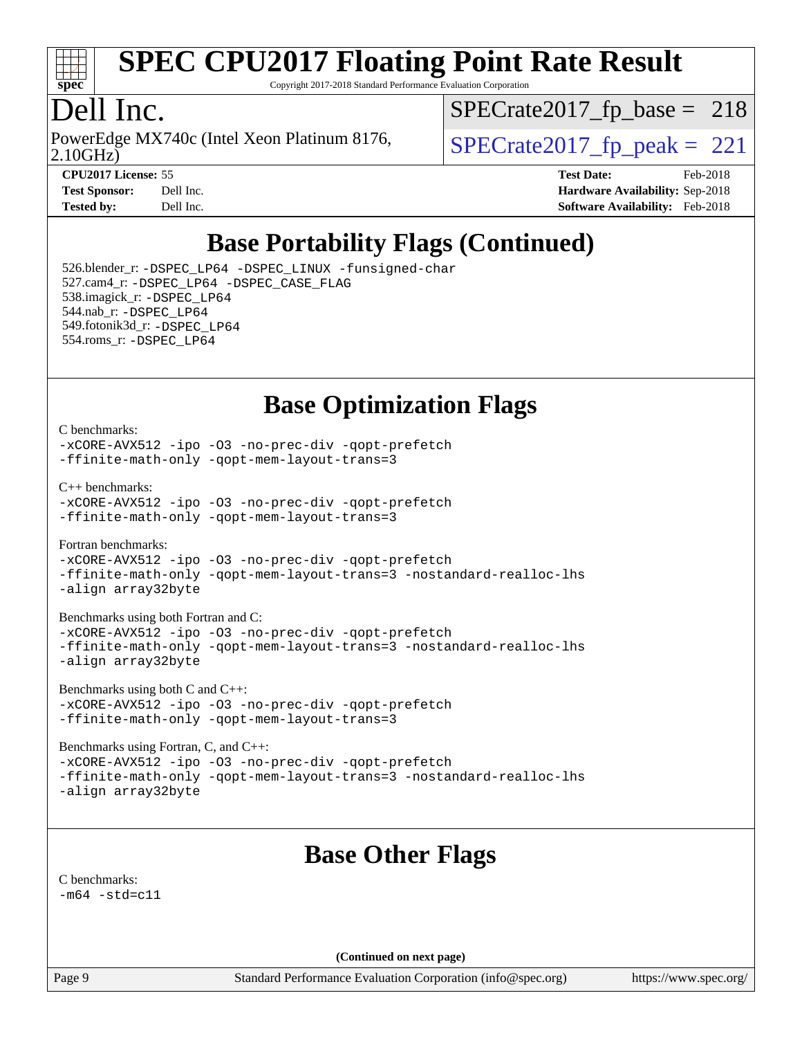

Copyright 2017-2018 Standard Performance Evaluation Corporation

### Dell Inc.

2.10GHz) PowerEdge MX740c (Intel Xeon Platinum 8176,  $\vert$  [SPECrate2017\\_fp\\_peak =](http://www.spec.org/auto/cpu2017/Docs/result-fields.html#SPECrate2017fppeak) 221

 $SPECTate2017_fp\_base = 218$ 

**[Tested by:](http://www.spec.org/auto/cpu2017/Docs/result-fields.html#Testedby)** Dell Inc. **[Software Availability:](http://www.spec.org/auto/cpu2017/Docs/result-fields.html#SoftwareAvailability)** Feb-2018

**[CPU2017 License:](http://www.spec.org/auto/cpu2017/Docs/result-fields.html#CPU2017License)** 55 **[Test Date:](http://www.spec.org/auto/cpu2017/Docs/result-fields.html#TestDate)** Feb-2018 **[Test Sponsor:](http://www.spec.org/auto/cpu2017/Docs/result-fields.html#TestSponsor)** Dell Inc. **[Hardware Availability:](http://www.spec.org/auto/cpu2017/Docs/result-fields.html#HardwareAvailability)** Sep-2018

## **[Base Portability Flags \(Continued\)](http://www.spec.org/auto/cpu2017/Docs/result-fields.html#BasePortabilityFlags)**

 526.blender\_r: [-DSPEC\\_LP64](http://www.spec.org/cpu2017/results/res2018q4/cpu2017-20181001-09002.flags.html#suite_basePORTABILITY526_blender_r_DSPEC_LP64) [-DSPEC\\_LINUX](http://www.spec.org/cpu2017/results/res2018q4/cpu2017-20181001-09002.flags.html#b526.blender_r_baseCPORTABILITY_DSPEC_LINUX) [-funsigned-char](http://www.spec.org/cpu2017/results/res2018q4/cpu2017-20181001-09002.flags.html#user_baseCPORTABILITY526_blender_r_force_uchar_40c60f00ab013830e2dd6774aeded3ff59883ba5a1fc5fc14077f794d777847726e2a5858cbc7672e36e1b067e7e5c1d9a74f7176df07886a243d7cc18edfe67) 527.cam4\_r: [-DSPEC\\_LP64](http://www.spec.org/cpu2017/results/res2018q4/cpu2017-20181001-09002.flags.html#suite_basePORTABILITY527_cam4_r_DSPEC_LP64) [-DSPEC\\_CASE\\_FLAG](http://www.spec.org/cpu2017/results/res2018q4/cpu2017-20181001-09002.flags.html#b527.cam4_r_baseCPORTABILITY_DSPEC_CASE_FLAG) 538.imagick\_r: [-DSPEC\\_LP64](http://www.spec.org/cpu2017/results/res2018q4/cpu2017-20181001-09002.flags.html#suite_basePORTABILITY538_imagick_r_DSPEC_LP64) 544.nab\_r: [-DSPEC\\_LP64](http://www.spec.org/cpu2017/results/res2018q4/cpu2017-20181001-09002.flags.html#suite_basePORTABILITY544_nab_r_DSPEC_LP64) 549.fotonik3d\_r: [-DSPEC\\_LP64](http://www.spec.org/cpu2017/results/res2018q4/cpu2017-20181001-09002.flags.html#suite_basePORTABILITY549_fotonik3d_r_DSPEC_LP64) 554.roms\_r: [-DSPEC\\_LP64](http://www.spec.org/cpu2017/results/res2018q4/cpu2017-20181001-09002.flags.html#suite_basePORTABILITY554_roms_r_DSPEC_LP64)

**[Base Optimization Flags](http://www.spec.org/auto/cpu2017/Docs/result-fields.html#BaseOptimizationFlags)**

#### [C benchmarks](http://www.spec.org/auto/cpu2017/Docs/result-fields.html#Cbenchmarks):

[-xCORE-AVX512](http://www.spec.org/cpu2017/results/res2018q4/cpu2017-20181001-09002.flags.html#user_CCbase_f-xCORE-AVX512) [-ipo](http://www.spec.org/cpu2017/results/res2018q4/cpu2017-20181001-09002.flags.html#user_CCbase_f-ipo) -03 [-no-prec-div](http://www.spec.org/cpu2017/results/res2018q4/cpu2017-20181001-09002.flags.html#user_CCbase_f-no-prec-div) [-qopt-prefetch](http://www.spec.org/cpu2017/results/res2018q4/cpu2017-20181001-09002.flags.html#user_CCbase_f-qopt-prefetch) [-ffinite-math-only](http://www.spec.org/cpu2017/results/res2018q4/cpu2017-20181001-09002.flags.html#user_CCbase_f_finite_math_only_cb91587bd2077682c4b38af759c288ed7c732db004271a9512da14a4f8007909a5f1427ecbf1a0fb78ff2a814402c6114ac565ca162485bbcae155b5e4258871) [-qopt-mem-layout-trans=3](http://www.spec.org/cpu2017/results/res2018q4/cpu2017-20181001-09002.flags.html#user_CCbase_f-qopt-mem-layout-trans_de80db37974c74b1f0e20d883f0b675c88c3b01e9d123adea9b28688d64333345fb62bc4a798493513fdb68f60282f9a726aa07f478b2f7113531aecce732043)

[C++ benchmarks:](http://www.spec.org/auto/cpu2017/Docs/result-fields.html#CXXbenchmarks)

[-xCORE-AVX512](http://www.spec.org/cpu2017/results/res2018q4/cpu2017-20181001-09002.flags.html#user_CXXbase_f-xCORE-AVX512) [-ipo](http://www.spec.org/cpu2017/results/res2018q4/cpu2017-20181001-09002.flags.html#user_CXXbase_f-ipo) [-O3](http://www.spec.org/cpu2017/results/res2018q4/cpu2017-20181001-09002.flags.html#user_CXXbase_f-O3) [-no-prec-div](http://www.spec.org/cpu2017/results/res2018q4/cpu2017-20181001-09002.flags.html#user_CXXbase_f-no-prec-div) [-qopt-prefetch](http://www.spec.org/cpu2017/results/res2018q4/cpu2017-20181001-09002.flags.html#user_CXXbase_f-qopt-prefetch) [-ffinite-math-only](http://www.spec.org/cpu2017/results/res2018q4/cpu2017-20181001-09002.flags.html#user_CXXbase_f_finite_math_only_cb91587bd2077682c4b38af759c288ed7c732db004271a9512da14a4f8007909a5f1427ecbf1a0fb78ff2a814402c6114ac565ca162485bbcae155b5e4258871) [-qopt-mem-layout-trans=3](http://www.spec.org/cpu2017/results/res2018q4/cpu2017-20181001-09002.flags.html#user_CXXbase_f-qopt-mem-layout-trans_de80db37974c74b1f0e20d883f0b675c88c3b01e9d123adea9b28688d64333345fb62bc4a798493513fdb68f60282f9a726aa07f478b2f7113531aecce732043)

[Fortran benchmarks](http://www.spec.org/auto/cpu2017/Docs/result-fields.html#Fortranbenchmarks):

[-xCORE-AVX512](http://www.spec.org/cpu2017/results/res2018q4/cpu2017-20181001-09002.flags.html#user_FCbase_f-xCORE-AVX512) [-ipo](http://www.spec.org/cpu2017/results/res2018q4/cpu2017-20181001-09002.flags.html#user_FCbase_f-ipo) [-O3](http://www.spec.org/cpu2017/results/res2018q4/cpu2017-20181001-09002.flags.html#user_FCbase_f-O3) [-no-prec-div](http://www.spec.org/cpu2017/results/res2018q4/cpu2017-20181001-09002.flags.html#user_FCbase_f-no-prec-div) [-qopt-prefetch](http://www.spec.org/cpu2017/results/res2018q4/cpu2017-20181001-09002.flags.html#user_FCbase_f-qopt-prefetch) [-ffinite-math-only](http://www.spec.org/cpu2017/results/res2018q4/cpu2017-20181001-09002.flags.html#user_FCbase_f_finite_math_only_cb91587bd2077682c4b38af759c288ed7c732db004271a9512da14a4f8007909a5f1427ecbf1a0fb78ff2a814402c6114ac565ca162485bbcae155b5e4258871) [-qopt-mem-layout-trans=3](http://www.spec.org/cpu2017/results/res2018q4/cpu2017-20181001-09002.flags.html#user_FCbase_f-qopt-mem-layout-trans_de80db37974c74b1f0e20d883f0b675c88c3b01e9d123adea9b28688d64333345fb62bc4a798493513fdb68f60282f9a726aa07f478b2f7113531aecce732043) [-nostandard-realloc-lhs](http://www.spec.org/cpu2017/results/res2018q4/cpu2017-20181001-09002.flags.html#user_FCbase_f_2003_std_realloc_82b4557e90729c0f113870c07e44d33d6f5a304b4f63d4c15d2d0f1fab99f5daaed73bdb9275d9ae411527f28b936061aa8b9c8f2d63842963b95c9dd6426b8a) [-align array32byte](http://www.spec.org/cpu2017/results/res2018q4/cpu2017-20181001-09002.flags.html#user_FCbase_align_array32byte_b982fe038af199962ba9a80c053b8342c548c85b40b8e86eb3cc33dee0d7986a4af373ac2d51c3f7cf710a18d62fdce2948f201cd044323541f22fc0fffc51b6)

[Benchmarks using both Fortran and C](http://www.spec.org/auto/cpu2017/Docs/result-fields.html#BenchmarksusingbothFortranandC):

[-xCORE-AVX512](http://www.spec.org/cpu2017/results/res2018q4/cpu2017-20181001-09002.flags.html#user_CC_FCbase_f-xCORE-AVX512) [-ipo](http://www.spec.org/cpu2017/results/res2018q4/cpu2017-20181001-09002.flags.html#user_CC_FCbase_f-ipo) [-O3](http://www.spec.org/cpu2017/results/res2018q4/cpu2017-20181001-09002.flags.html#user_CC_FCbase_f-O3) [-no-prec-div](http://www.spec.org/cpu2017/results/res2018q4/cpu2017-20181001-09002.flags.html#user_CC_FCbase_f-no-prec-div) [-qopt-prefetch](http://www.spec.org/cpu2017/results/res2018q4/cpu2017-20181001-09002.flags.html#user_CC_FCbase_f-qopt-prefetch) [-ffinite-math-only](http://www.spec.org/cpu2017/results/res2018q4/cpu2017-20181001-09002.flags.html#user_CC_FCbase_f_finite_math_only_cb91587bd2077682c4b38af759c288ed7c732db004271a9512da14a4f8007909a5f1427ecbf1a0fb78ff2a814402c6114ac565ca162485bbcae155b5e4258871) [-qopt-mem-layout-trans=3](http://www.spec.org/cpu2017/results/res2018q4/cpu2017-20181001-09002.flags.html#user_CC_FCbase_f-qopt-mem-layout-trans_de80db37974c74b1f0e20d883f0b675c88c3b01e9d123adea9b28688d64333345fb62bc4a798493513fdb68f60282f9a726aa07f478b2f7113531aecce732043) [-nostandard-realloc-lhs](http://www.spec.org/cpu2017/results/res2018q4/cpu2017-20181001-09002.flags.html#user_CC_FCbase_f_2003_std_realloc_82b4557e90729c0f113870c07e44d33d6f5a304b4f63d4c15d2d0f1fab99f5daaed73bdb9275d9ae411527f28b936061aa8b9c8f2d63842963b95c9dd6426b8a) [-align array32byte](http://www.spec.org/cpu2017/results/res2018q4/cpu2017-20181001-09002.flags.html#user_CC_FCbase_align_array32byte_b982fe038af199962ba9a80c053b8342c548c85b40b8e86eb3cc33dee0d7986a4af373ac2d51c3f7cf710a18d62fdce2948f201cd044323541f22fc0fffc51b6)

[Benchmarks using both C and C++](http://www.spec.org/auto/cpu2017/Docs/result-fields.html#BenchmarksusingbothCandCXX): [-xCORE-AVX512](http://www.spec.org/cpu2017/results/res2018q4/cpu2017-20181001-09002.flags.html#user_CC_CXXbase_f-xCORE-AVX512) [-ipo](http://www.spec.org/cpu2017/results/res2018q4/cpu2017-20181001-09002.flags.html#user_CC_CXXbase_f-ipo) -03 [-no-prec-div](http://www.spec.org/cpu2017/results/res2018q4/cpu2017-20181001-09002.flags.html#user_CC_CXXbase_f-no-prec-div) [-qopt-prefetch](http://www.spec.org/cpu2017/results/res2018q4/cpu2017-20181001-09002.flags.html#user_CC_CXXbase_f-qopt-prefetch) [-ffinite-math-only](http://www.spec.org/cpu2017/results/res2018q4/cpu2017-20181001-09002.flags.html#user_CC_CXXbase_f_finite_math_only_cb91587bd2077682c4b38af759c288ed7c732db004271a9512da14a4f8007909a5f1427ecbf1a0fb78ff2a814402c6114ac565ca162485bbcae155b5e4258871) [-qopt-mem-layout-trans=3](http://www.spec.org/cpu2017/results/res2018q4/cpu2017-20181001-09002.flags.html#user_CC_CXXbase_f-qopt-mem-layout-trans_de80db37974c74b1f0e20d883f0b675c88c3b01e9d123adea9b28688d64333345fb62bc4a798493513fdb68f60282f9a726aa07f478b2f7113531aecce732043)

[Benchmarks using Fortran, C, and C++:](http://www.spec.org/auto/cpu2017/Docs/result-fields.html#BenchmarksusingFortranCandCXX)

[-xCORE-AVX512](http://www.spec.org/cpu2017/results/res2018q4/cpu2017-20181001-09002.flags.html#user_CC_CXX_FCbase_f-xCORE-AVX512) [-ipo](http://www.spec.org/cpu2017/results/res2018q4/cpu2017-20181001-09002.flags.html#user_CC_CXX_FCbase_f-ipo) [-O3](http://www.spec.org/cpu2017/results/res2018q4/cpu2017-20181001-09002.flags.html#user_CC_CXX_FCbase_f-O3) [-no-prec-div](http://www.spec.org/cpu2017/results/res2018q4/cpu2017-20181001-09002.flags.html#user_CC_CXX_FCbase_f-no-prec-div) [-qopt-prefetch](http://www.spec.org/cpu2017/results/res2018q4/cpu2017-20181001-09002.flags.html#user_CC_CXX_FCbase_f-qopt-prefetch) [-ffinite-math-only](http://www.spec.org/cpu2017/results/res2018q4/cpu2017-20181001-09002.flags.html#user_CC_CXX_FCbase_f_finite_math_only_cb91587bd2077682c4b38af759c288ed7c732db004271a9512da14a4f8007909a5f1427ecbf1a0fb78ff2a814402c6114ac565ca162485bbcae155b5e4258871) [-qopt-mem-layout-trans=3](http://www.spec.org/cpu2017/results/res2018q4/cpu2017-20181001-09002.flags.html#user_CC_CXX_FCbase_f-qopt-mem-layout-trans_de80db37974c74b1f0e20d883f0b675c88c3b01e9d123adea9b28688d64333345fb62bc4a798493513fdb68f60282f9a726aa07f478b2f7113531aecce732043) [-nostandard-realloc-lhs](http://www.spec.org/cpu2017/results/res2018q4/cpu2017-20181001-09002.flags.html#user_CC_CXX_FCbase_f_2003_std_realloc_82b4557e90729c0f113870c07e44d33d6f5a304b4f63d4c15d2d0f1fab99f5daaed73bdb9275d9ae411527f28b936061aa8b9c8f2d63842963b95c9dd6426b8a) [-align array32byte](http://www.spec.org/cpu2017/results/res2018q4/cpu2017-20181001-09002.flags.html#user_CC_CXX_FCbase_align_array32byte_b982fe038af199962ba9a80c053b8342c548c85b40b8e86eb3cc33dee0d7986a4af373ac2d51c3f7cf710a18d62fdce2948f201cd044323541f22fc0fffc51b6)

#### **[Base Other Flags](http://www.spec.org/auto/cpu2017/Docs/result-fields.html#BaseOtherFlags)**

[C benchmarks](http://www.spec.org/auto/cpu2017/Docs/result-fields.html#Cbenchmarks):

 $-m64$   $-std=cl1$ 

**(Continued on next page)**

Page 9 Standard Performance Evaluation Corporation [\(info@spec.org\)](mailto:info@spec.org) <https://www.spec.org/>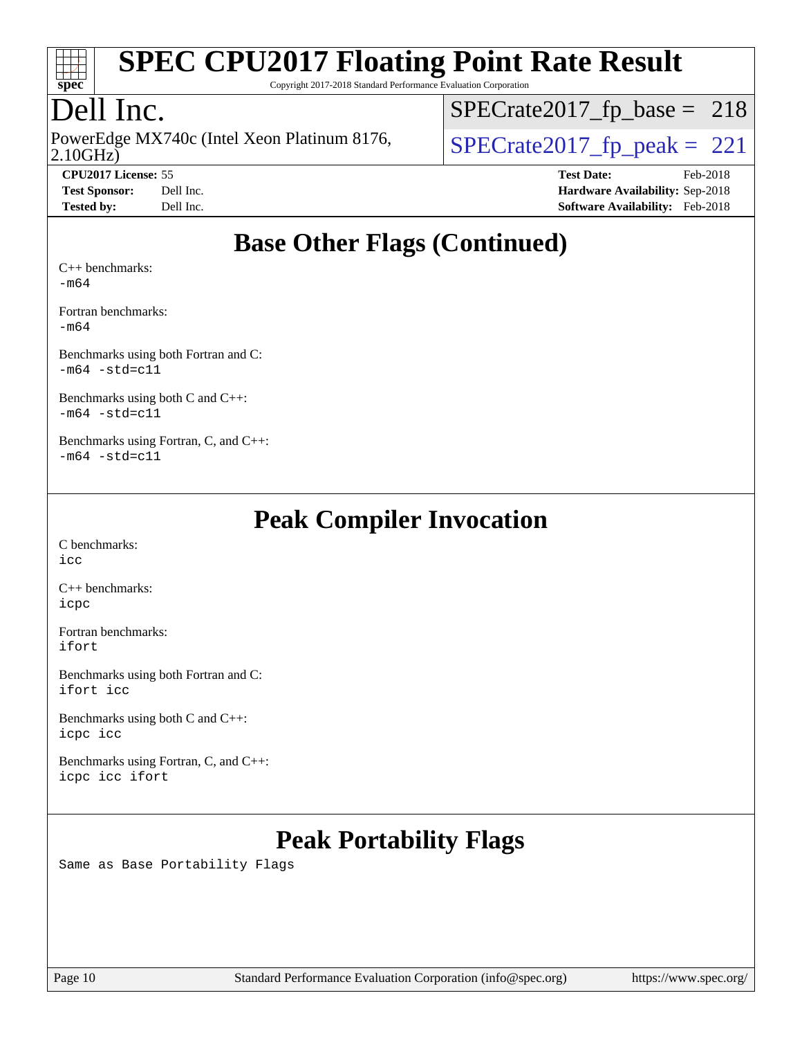

Copyright 2017-2018 Standard Performance Evaluation Corporation

### Dell Inc.

2.10GHz) PowerEdge MX740c (Intel Xeon Platinum 8176,  $\vert$ [SPECrate2017\\_fp\\_peak =](http://www.spec.org/auto/cpu2017/Docs/result-fields.html#SPECrate2017fppeak) 221

[SPECrate2017\\_fp\\_base =](http://www.spec.org/auto/cpu2017/Docs/result-fields.html#SPECrate2017fpbase) 218

**[CPU2017 License:](http://www.spec.org/auto/cpu2017/Docs/result-fields.html#CPU2017License)** 55 **[Test Date:](http://www.spec.org/auto/cpu2017/Docs/result-fields.html#TestDate)** Feb-2018 **[Test Sponsor:](http://www.spec.org/auto/cpu2017/Docs/result-fields.html#TestSponsor)** Dell Inc. **[Hardware Availability:](http://www.spec.org/auto/cpu2017/Docs/result-fields.html#HardwareAvailability)** Sep-2018 **[Tested by:](http://www.spec.org/auto/cpu2017/Docs/result-fields.html#Testedby)** Dell Inc. **[Software Availability:](http://www.spec.org/auto/cpu2017/Docs/result-fields.html#SoftwareAvailability)** Feb-2018

#### **[Base Other Flags \(Continued\)](http://www.spec.org/auto/cpu2017/Docs/result-fields.html#BaseOtherFlags)**

[C++ benchmarks:](http://www.spec.org/auto/cpu2017/Docs/result-fields.html#CXXbenchmarks) [-m64](http://www.spec.org/cpu2017/results/res2018q4/cpu2017-20181001-09002.flags.html#user_CXXbase_intel_intel64_18.0_af43caccfc8ded86e7699f2159af6efc7655f51387b94da716254467f3c01020a5059329e2569e4053f409e7c9202a7efc638f7a6d1ffb3f52dea4a3e31d82ab)

[Fortran benchmarks](http://www.spec.org/auto/cpu2017/Docs/result-fields.html#Fortranbenchmarks): [-m64](http://www.spec.org/cpu2017/results/res2018q4/cpu2017-20181001-09002.flags.html#user_FCbase_intel_intel64_18.0_af43caccfc8ded86e7699f2159af6efc7655f51387b94da716254467f3c01020a5059329e2569e4053f409e7c9202a7efc638f7a6d1ffb3f52dea4a3e31d82ab)

[Benchmarks using both Fortran and C](http://www.spec.org/auto/cpu2017/Docs/result-fields.html#BenchmarksusingbothFortranandC):  $-m64$   $-std=cl1$ 

[Benchmarks using both C and C++](http://www.spec.org/auto/cpu2017/Docs/result-fields.html#BenchmarksusingbothCandCXX):  $-m64$   $-std=cl1$ 

[Benchmarks using Fortran, C, and C++:](http://www.spec.org/auto/cpu2017/Docs/result-fields.html#BenchmarksusingFortranCandCXX)  $-m64$   $-std=cl1$ 

#### **[Peak Compiler Invocation](http://www.spec.org/auto/cpu2017/Docs/result-fields.html#PeakCompilerInvocation)**

[C benchmarks](http://www.spec.org/auto/cpu2017/Docs/result-fields.html#Cbenchmarks): [icc](http://www.spec.org/cpu2017/results/res2018q4/cpu2017-20181001-09002.flags.html#user_CCpeak_intel_icc_18.0_66fc1ee009f7361af1fbd72ca7dcefbb700085f36577c54f309893dd4ec40d12360134090235512931783d35fd58c0460139e722d5067c5574d8eaf2b3e37e92)

[C++ benchmarks:](http://www.spec.org/auto/cpu2017/Docs/result-fields.html#CXXbenchmarks) [icpc](http://www.spec.org/cpu2017/results/res2018q4/cpu2017-20181001-09002.flags.html#user_CXXpeak_intel_icpc_18.0_c510b6838c7f56d33e37e94d029a35b4a7bccf4766a728ee175e80a419847e808290a9b78be685c44ab727ea267ec2f070ec5dc83b407c0218cded6866a35d07)

[Fortran benchmarks](http://www.spec.org/auto/cpu2017/Docs/result-fields.html#Fortranbenchmarks): [ifort](http://www.spec.org/cpu2017/results/res2018q4/cpu2017-20181001-09002.flags.html#user_FCpeak_intel_ifort_18.0_8111460550e3ca792625aed983ce982f94888b8b503583aa7ba2b8303487b4d8a21a13e7191a45c5fd58ff318f48f9492884d4413fa793fd88dd292cad7027ca)

[Benchmarks using both Fortran and C](http://www.spec.org/auto/cpu2017/Docs/result-fields.html#BenchmarksusingbothFortranandC): [ifort](http://www.spec.org/cpu2017/results/res2018q4/cpu2017-20181001-09002.flags.html#user_CC_FCpeak_intel_ifort_18.0_8111460550e3ca792625aed983ce982f94888b8b503583aa7ba2b8303487b4d8a21a13e7191a45c5fd58ff318f48f9492884d4413fa793fd88dd292cad7027ca) [icc](http://www.spec.org/cpu2017/results/res2018q4/cpu2017-20181001-09002.flags.html#user_CC_FCpeak_intel_icc_18.0_66fc1ee009f7361af1fbd72ca7dcefbb700085f36577c54f309893dd4ec40d12360134090235512931783d35fd58c0460139e722d5067c5574d8eaf2b3e37e92)

[Benchmarks using both C and C++](http://www.spec.org/auto/cpu2017/Docs/result-fields.html#BenchmarksusingbothCandCXX): [icpc](http://www.spec.org/cpu2017/results/res2018q4/cpu2017-20181001-09002.flags.html#user_CC_CXXpeak_intel_icpc_18.0_c510b6838c7f56d33e37e94d029a35b4a7bccf4766a728ee175e80a419847e808290a9b78be685c44ab727ea267ec2f070ec5dc83b407c0218cded6866a35d07) [icc](http://www.spec.org/cpu2017/results/res2018q4/cpu2017-20181001-09002.flags.html#user_CC_CXXpeak_intel_icc_18.0_66fc1ee009f7361af1fbd72ca7dcefbb700085f36577c54f309893dd4ec40d12360134090235512931783d35fd58c0460139e722d5067c5574d8eaf2b3e37e92)

[Benchmarks using Fortran, C, and C++:](http://www.spec.org/auto/cpu2017/Docs/result-fields.html#BenchmarksusingFortranCandCXX) [icpc](http://www.spec.org/cpu2017/results/res2018q4/cpu2017-20181001-09002.flags.html#user_CC_CXX_FCpeak_intel_icpc_18.0_c510b6838c7f56d33e37e94d029a35b4a7bccf4766a728ee175e80a419847e808290a9b78be685c44ab727ea267ec2f070ec5dc83b407c0218cded6866a35d07) [icc](http://www.spec.org/cpu2017/results/res2018q4/cpu2017-20181001-09002.flags.html#user_CC_CXX_FCpeak_intel_icc_18.0_66fc1ee009f7361af1fbd72ca7dcefbb700085f36577c54f309893dd4ec40d12360134090235512931783d35fd58c0460139e722d5067c5574d8eaf2b3e37e92) [ifort](http://www.spec.org/cpu2017/results/res2018q4/cpu2017-20181001-09002.flags.html#user_CC_CXX_FCpeak_intel_ifort_18.0_8111460550e3ca792625aed983ce982f94888b8b503583aa7ba2b8303487b4d8a21a13e7191a45c5fd58ff318f48f9492884d4413fa793fd88dd292cad7027ca)

## **[Peak Portability Flags](http://www.spec.org/auto/cpu2017/Docs/result-fields.html#PeakPortabilityFlags)**

Same as Base Portability Flags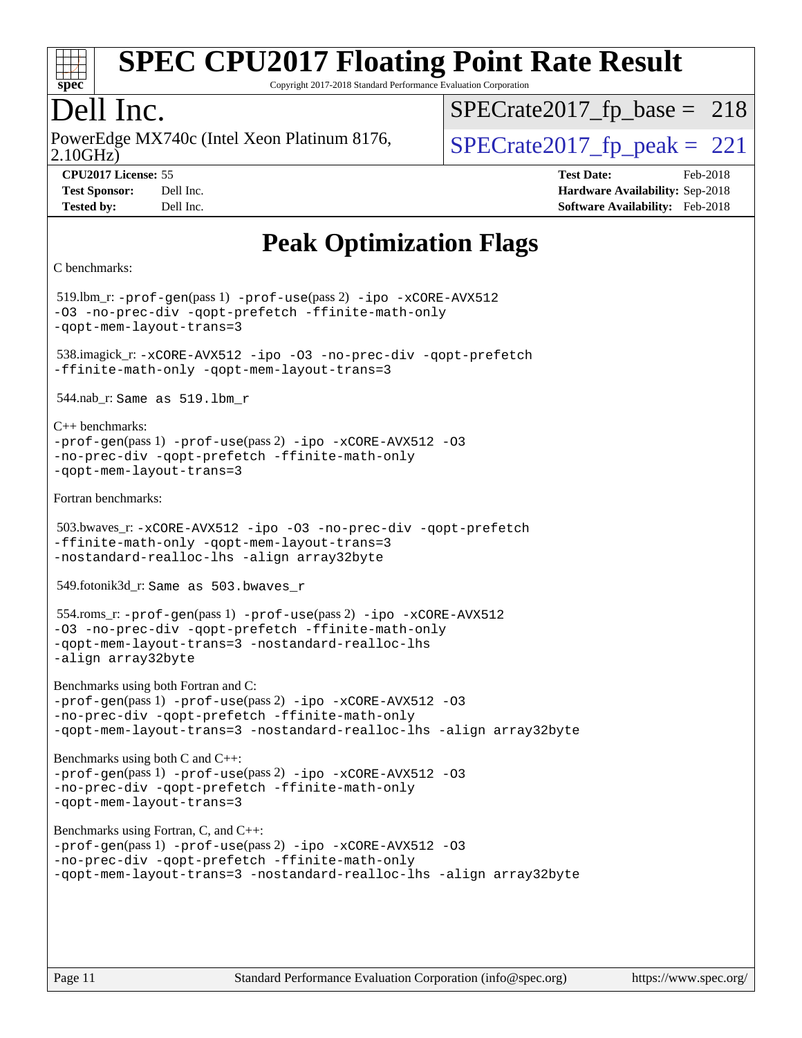

Copyright 2017-2018 Standard Performance Evaluation Corporation

### Dell Inc.

2.10GHz) PowerEdge MX740c (Intel Xeon Platinum 8176,  $\vert$  [SPECrate2017\\_fp\\_peak =](http://www.spec.org/auto/cpu2017/Docs/result-fields.html#SPECrate2017fppeak) 221

 $SPECTate2017_fp\_base = 218$ 

**[CPU2017 License:](http://www.spec.org/auto/cpu2017/Docs/result-fields.html#CPU2017License)** 55 **[Test Date:](http://www.spec.org/auto/cpu2017/Docs/result-fields.html#TestDate)** Feb-2018 **[Test Sponsor:](http://www.spec.org/auto/cpu2017/Docs/result-fields.html#TestSponsor)** Dell Inc. **[Hardware Availability:](http://www.spec.org/auto/cpu2017/Docs/result-fields.html#HardwareAvailability)** Sep-2018 **[Tested by:](http://www.spec.org/auto/cpu2017/Docs/result-fields.html#Testedby)** Dell Inc. **[Software Availability:](http://www.spec.org/auto/cpu2017/Docs/result-fields.html#SoftwareAvailability)** Feb-2018

### **[Peak Optimization Flags](http://www.spec.org/auto/cpu2017/Docs/result-fields.html#PeakOptimizationFlags)**

```
C benchmarks:
```
 519.lbm\_r: [-prof-gen](http://www.spec.org/cpu2017/results/res2018q4/cpu2017-20181001-09002.flags.html#user_peakPASS1_CFLAGSPASS1_LDFLAGS519_lbm_r_prof_gen_5aa4926d6013ddb2a31985c654b3eb18169fc0c6952a63635c234f711e6e63dd76e94ad52365559451ec499a2cdb89e4dc58ba4c67ef54ca681ffbe1461d6b36)(pass 1) [-prof-use](http://www.spec.org/cpu2017/results/res2018q4/cpu2017-20181001-09002.flags.html#user_peakPASS2_CFLAGSPASS2_LDFLAGS519_lbm_r_prof_use_1a21ceae95f36a2b53c25747139a6c16ca95bd9def2a207b4f0849963b97e94f5260e30a0c64f4bb623698870e679ca08317ef8150905d41bd88c6f78df73f19)(pass 2) [-ipo](http://www.spec.org/cpu2017/results/res2018q4/cpu2017-20181001-09002.flags.html#user_peakPASS1_COPTIMIZEPASS2_COPTIMIZE519_lbm_r_f-ipo) [-xCORE-AVX512](http://www.spec.org/cpu2017/results/res2018q4/cpu2017-20181001-09002.flags.html#user_peakPASS2_COPTIMIZE519_lbm_r_f-xCORE-AVX512) [-O3](http://www.spec.org/cpu2017/results/res2018q4/cpu2017-20181001-09002.flags.html#user_peakPASS1_COPTIMIZEPASS2_COPTIMIZE519_lbm_r_f-O3) [-no-prec-div](http://www.spec.org/cpu2017/results/res2018q4/cpu2017-20181001-09002.flags.html#user_peakPASS1_COPTIMIZEPASS2_COPTIMIZE519_lbm_r_f-no-prec-div) [-qopt-prefetch](http://www.spec.org/cpu2017/results/res2018q4/cpu2017-20181001-09002.flags.html#user_peakPASS1_COPTIMIZEPASS2_COPTIMIZE519_lbm_r_f-qopt-prefetch) [-ffinite-math-only](http://www.spec.org/cpu2017/results/res2018q4/cpu2017-20181001-09002.flags.html#user_peakPASS1_COPTIMIZEPASS2_COPTIMIZE519_lbm_r_f_finite_math_only_cb91587bd2077682c4b38af759c288ed7c732db004271a9512da14a4f8007909a5f1427ecbf1a0fb78ff2a814402c6114ac565ca162485bbcae155b5e4258871) [-qopt-mem-layout-trans=3](http://www.spec.org/cpu2017/results/res2018q4/cpu2017-20181001-09002.flags.html#user_peakPASS1_COPTIMIZEPASS2_COPTIMIZE519_lbm_r_f-qopt-mem-layout-trans_de80db37974c74b1f0e20d883f0b675c88c3b01e9d123adea9b28688d64333345fb62bc4a798493513fdb68f60282f9a726aa07f478b2f7113531aecce732043) 538.imagick\_r: [-xCORE-AVX512](http://www.spec.org/cpu2017/results/res2018q4/cpu2017-20181001-09002.flags.html#user_peakCOPTIMIZE538_imagick_r_f-xCORE-AVX512) [-ipo](http://www.spec.org/cpu2017/results/res2018q4/cpu2017-20181001-09002.flags.html#user_peakCOPTIMIZE538_imagick_r_f-ipo) [-O3](http://www.spec.org/cpu2017/results/res2018q4/cpu2017-20181001-09002.flags.html#user_peakCOPTIMIZE538_imagick_r_f-O3) [-no-prec-div](http://www.spec.org/cpu2017/results/res2018q4/cpu2017-20181001-09002.flags.html#user_peakCOPTIMIZE538_imagick_r_f-no-prec-div) [-qopt-prefetch](http://www.spec.org/cpu2017/results/res2018q4/cpu2017-20181001-09002.flags.html#user_peakCOPTIMIZE538_imagick_r_f-qopt-prefetch) [-ffinite-math-only](http://www.spec.org/cpu2017/results/res2018q4/cpu2017-20181001-09002.flags.html#user_peakCOPTIMIZE538_imagick_r_f_finite_math_only_cb91587bd2077682c4b38af759c288ed7c732db004271a9512da14a4f8007909a5f1427ecbf1a0fb78ff2a814402c6114ac565ca162485bbcae155b5e4258871) [-qopt-mem-layout-trans=3](http://www.spec.org/cpu2017/results/res2018q4/cpu2017-20181001-09002.flags.html#user_peakCOPTIMIZE538_imagick_r_f-qopt-mem-layout-trans_de80db37974c74b1f0e20d883f0b675c88c3b01e9d123adea9b28688d64333345fb62bc4a798493513fdb68f60282f9a726aa07f478b2f7113531aecce732043) 544.nab\_r: Same as 519.lbm\_r [C++ benchmarks:](http://www.spec.org/auto/cpu2017/Docs/result-fields.html#CXXbenchmarks) [-prof-gen](http://www.spec.org/cpu2017/results/res2018q4/cpu2017-20181001-09002.flags.html#user_CXXpeak_prof_gen_5aa4926d6013ddb2a31985c654b3eb18169fc0c6952a63635c234f711e6e63dd76e94ad52365559451ec499a2cdb89e4dc58ba4c67ef54ca681ffbe1461d6b36)(pass 1) [-prof-use](http://www.spec.org/cpu2017/results/res2018q4/cpu2017-20181001-09002.flags.html#user_CXXpeak_prof_use_1a21ceae95f36a2b53c25747139a6c16ca95bd9def2a207b4f0849963b97e94f5260e30a0c64f4bb623698870e679ca08317ef8150905d41bd88c6f78df73f19)(pass 2) [-ipo](http://www.spec.org/cpu2017/results/res2018q4/cpu2017-20181001-09002.flags.html#user_CXXpeak_f-ipo) [-xCORE-AVX512](http://www.spec.org/cpu2017/results/res2018q4/cpu2017-20181001-09002.flags.html#user_CXXpeak_f-xCORE-AVX512) [-O3](http://www.spec.org/cpu2017/results/res2018q4/cpu2017-20181001-09002.flags.html#user_CXXpeak_f-O3) [-no-prec-div](http://www.spec.org/cpu2017/results/res2018q4/cpu2017-20181001-09002.flags.html#user_CXXpeak_f-no-prec-div) [-qopt-prefetch](http://www.spec.org/cpu2017/results/res2018q4/cpu2017-20181001-09002.flags.html#user_CXXpeak_f-qopt-prefetch) [-ffinite-math-only](http://www.spec.org/cpu2017/results/res2018q4/cpu2017-20181001-09002.flags.html#user_CXXpeak_f_finite_math_only_cb91587bd2077682c4b38af759c288ed7c732db004271a9512da14a4f8007909a5f1427ecbf1a0fb78ff2a814402c6114ac565ca162485bbcae155b5e4258871) [-qopt-mem-layout-trans=3](http://www.spec.org/cpu2017/results/res2018q4/cpu2017-20181001-09002.flags.html#user_CXXpeak_f-qopt-mem-layout-trans_de80db37974c74b1f0e20d883f0b675c88c3b01e9d123adea9b28688d64333345fb62bc4a798493513fdb68f60282f9a726aa07f478b2f7113531aecce732043) [Fortran benchmarks](http://www.spec.org/auto/cpu2017/Docs/result-fields.html#Fortranbenchmarks): 503.bwaves\_r: [-xCORE-AVX512](http://www.spec.org/cpu2017/results/res2018q4/cpu2017-20181001-09002.flags.html#user_peakFOPTIMIZE503_bwaves_r_f-xCORE-AVX512) [-ipo](http://www.spec.org/cpu2017/results/res2018q4/cpu2017-20181001-09002.flags.html#user_peakFOPTIMIZE503_bwaves_r_f-ipo) [-O3](http://www.spec.org/cpu2017/results/res2018q4/cpu2017-20181001-09002.flags.html#user_peakFOPTIMIZE503_bwaves_r_f-O3) [-no-prec-div](http://www.spec.org/cpu2017/results/res2018q4/cpu2017-20181001-09002.flags.html#user_peakFOPTIMIZE503_bwaves_r_f-no-prec-div) [-qopt-prefetch](http://www.spec.org/cpu2017/results/res2018q4/cpu2017-20181001-09002.flags.html#user_peakFOPTIMIZE503_bwaves_r_f-qopt-prefetch) [-ffinite-math-only](http://www.spec.org/cpu2017/results/res2018q4/cpu2017-20181001-09002.flags.html#user_peakFOPTIMIZE503_bwaves_r_f_finite_math_only_cb91587bd2077682c4b38af759c288ed7c732db004271a9512da14a4f8007909a5f1427ecbf1a0fb78ff2a814402c6114ac565ca162485bbcae155b5e4258871) [-qopt-mem-layout-trans=3](http://www.spec.org/cpu2017/results/res2018q4/cpu2017-20181001-09002.flags.html#user_peakFOPTIMIZE503_bwaves_r_f-qopt-mem-layout-trans_de80db37974c74b1f0e20d883f0b675c88c3b01e9d123adea9b28688d64333345fb62bc4a798493513fdb68f60282f9a726aa07f478b2f7113531aecce732043) [-nostandard-realloc-lhs](http://www.spec.org/cpu2017/results/res2018q4/cpu2017-20181001-09002.flags.html#user_peakEXTRA_FOPTIMIZE503_bwaves_r_f_2003_std_realloc_82b4557e90729c0f113870c07e44d33d6f5a304b4f63d4c15d2d0f1fab99f5daaed73bdb9275d9ae411527f28b936061aa8b9c8f2d63842963b95c9dd6426b8a) [-align array32byte](http://www.spec.org/cpu2017/results/res2018q4/cpu2017-20181001-09002.flags.html#user_peakEXTRA_FOPTIMIZE503_bwaves_r_align_array32byte_b982fe038af199962ba9a80c053b8342c548c85b40b8e86eb3cc33dee0d7986a4af373ac2d51c3f7cf710a18d62fdce2948f201cd044323541f22fc0fffc51b6) 549.fotonik3d\_r: Same as 503.bwaves\_r 554.roms\_r: [-prof-gen](http://www.spec.org/cpu2017/results/res2018q4/cpu2017-20181001-09002.flags.html#user_peakPASS1_FFLAGSPASS1_LDFLAGS554_roms_r_prof_gen_5aa4926d6013ddb2a31985c654b3eb18169fc0c6952a63635c234f711e6e63dd76e94ad52365559451ec499a2cdb89e4dc58ba4c67ef54ca681ffbe1461d6b36)(pass 1) [-prof-use](http://www.spec.org/cpu2017/results/res2018q4/cpu2017-20181001-09002.flags.html#user_peakPASS2_FFLAGSPASS2_LDFLAGS554_roms_r_prof_use_1a21ceae95f36a2b53c25747139a6c16ca95bd9def2a207b4f0849963b97e94f5260e30a0c64f4bb623698870e679ca08317ef8150905d41bd88c6f78df73f19)(pass 2) [-ipo](http://www.spec.org/cpu2017/results/res2018q4/cpu2017-20181001-09002.flags.html#user_peakPASS1_FOPTIMIZEPASS2_FOPTIMIZE554_roms_r_f-ipo) [-xCORE-AVX512](http://www.spec.org/cpu2017/results/res2018q4/cpu2017-20181001-09002.flags.html#user_peakPASS2_FOPTIMIZE554_roms_r_f-xCORE-AVX512) [-O3](http://www.spec.org/cpu2017/results/res2018q4/cpu2017-20181001-09002.flags.html#user_peakPASS1_FOPTIMIZEPASS2_FOPTIMIZE554_roms_r_f-O3) [-no-prec-div](http://www.spec.org/cpu2017/results/res2018q4/cpu2017-20181001-09002.flags.html#user_peakPASS1_FOPTIMIZEPASS2_FOPTIMIZE554_roms_r_f-no-prec-div) [-qopt-prefetch](http://www.spec.org/cpu2017/results/res2018q4/cpu2017-20181001-09002.flags.html#user_peakPASS1_FOPTIMIZEPASS2_FOPTIMIZE554_roms_r_f-qopt-prefetch) [-ffinite-math-only](http://www.spec.org/cpu2017/results/res2018q4/cpu2017-20181001-09002.flags.html#user_peakPASS1_FOPTIMIZEPASS2_FOPTIMIZE554_roms_r_f_finite_math_only_cb91587bd2077682c4b38af759c288ed7c732db004271a9512da14a4f8007909a5f1427ecbf1a0fb78ff2a814402c6114ac565ca162485bbcae155b5e4258871) [-qopt-mem-layout-trans=3](http://www.spec.org/cpu2017/results/res2018q4/cpu2017-20181001-09002.flags.html#user_peakPASS1_FOPTIMIZEPASS2_FOPTIMIZE554_roms_r_f-qopt-mem-layout-trans_de80db37974c74b1f0e20d883f0b675c88c3b01e9d123adea9b28688d64333345fb62bc4a798493513fdb68f60282f9a726aa07f478b2f7113531aecce732043) [-nostandard-realloc-lhs](http://www.spec.org/cpu2017/results/res2018q4/cpu2017-20181001-09002.flags.html#user_peakEXTRA_FOPTIMIZE554_roms_r_f_2003_std_realloc_82b4557e90729c0f113870c07e44d33d6f5a304b4f63d4c15d2d0f1fab99f5daaed73bdb9275d9ae411527f28b936061aa8b9c8f2d63842963b95c9dd6426b8a) [-align array32byte](http://www.spec.org/cpu2017/results/res2018q4/cpu2017-20181001-09002.flags.html#user_peakEXTRA_FOPTIMIZE554_roms_r_align_array32byte_b982fe038af199962ba9a80c053b8342c548c85b40b8e86eb3cc33dee0d7986a4af373ac2d51c3f7cf710a18d62fdce2948f201cd044323541f22fc0fffc51b6) [Benchmarks using both Fortran and C](http://www.spec.org/auto/cpu2017/Docs/result-fields.html#BenchmarksusingbothFortranandC):  $-prof-qen(pass 1) -prof-use(pass 2) -ipo -xCORE-AVX512 -O3$  $-prof-qen(pass 1) -prof-use(pass 2) -ipo -xCORE-AVX512 -O3$  $-prof-qen(pass 1) -prof-use(pass 2) -ipo -xCORE-AVX512 -O3$  $-prof-qen(pass 1) -prof-use(pass 2) -ipo -xCORE-AVX512 -O3$  $-prof-qen(pass 1) -prof-use(pass 2) -ipo -xCORE-AVX512 -O3$  $-prof-qen(pass 1) -prof-use(pass 2) -ipo -xCORE-AVX512 -O3$  $-prof-qen(pass 1) -prof-use(pass 2) -ipo -xCORE-AVX512 -O3$  $-prof-qen(pass 1) -prof-use(pass 2) -ipo -xCORE-AVX512 -O3$ [-no-prec-div](http://www.spec.org/cpu2017/results/res2018q4/cpu2017-20181001-09002.flags.html#user_CC_FCpeak_f-no-prec-div) [-qopt-prefetch](http://www.spec.org/cpu2017/results/res2018q4/cpu2017-20181001-09002.flags.html#user_CC_FCpeak_f-qopt-prefetch) [-ffinite-math-only](http://www.spec.org/cpu2017/results/res2018q4/cpu2017-20181001-09002.flags.html#user_CC_FCpeak_f_finite_math_only_cb91587bd2077682c4b38af759c288ed7c732db004271a9512da14a4f8007909a5f1427ecbf1a0fb78ff2a814402c6114ac565ca162485bbcae155b5e4258871) [-qopt-mem-layout-trans=3](http://www.spec.org/cpu2017/results/res2018q4/cpu2017-20181001-09002.flags.html#user_CC_FCpeak_f-qopt-mem-layout-trans_de80db37974c74b1f0e20d883f0b675c88c3b01e9d123adea9b28688d64333345fb62bc4a798493513fdb68f60282f9a726aa07f478b2f7113531aecce732043) [-nostandard-realloc-lhs](http://www.spec.org/cpu2017/results/res2018q4/cpu2017-20181001-09002.flags.html#user_CC_FCpeak_f_2003_std_realloc_82b4557e90729c0f113870c07e44d33d6f5a304b4f63d4c15d2d0f1fab99f5daaed73bdb9275d9ae411527f28b936061aa8b9c8f2d63842963b95c9dd6426b8a) [-align array32byte](http://www.spec.org/cpu2017/results/res2018q4/cpu2017-20181001-09002.flags.html#user_CC_FCpeak_align_array32byte_b982fe038af199962ba9a80c053b8342c548c85b40b8e86eb3cc33dee0d7986a4af373ac2d51c3f7cf710a18d62fdce2948f201cd044323541f22fc0fffc51b6) [Benchmarks using both C and C++:](http://www.spec.org/auto/cpu2017/Docs/result-fields.html#BenchmarksusingbothCandCXX) [-prof-gen](http://www.spec.org/cpu2017/results/res2018q4/cpu2017-20181001-09002.flags.html#user_CC_CXXpeak_prof_gen_5aa4926d6013ddb2a31985c654b3eb18169fc0c6952a63635c234f711e6e63dd76e94ad52365559451ec499a2cdb89e4dc58ba4c67ef54ca681ffbe1461d6b36)(pass 1) [-prof-use](http://www.spec.org/cpu2017/results/res2018q4/cpu2017-20181001-09002.flags.html#user_CC_CXXpeak_prof_use_1a21ceae95f36a2b53c25747139a6c16ca95bd9def2a207b4f0849963b97e94f5260e30a0c64f4bb623698870e679ca08317ef8150905d41bd88c6f78df73f19)(pass 2) [-ipo](http://www.spec.org/cpu2017/results/res2018q4/cpu2017-20181001-09002.flags.html#user_CC_CXXpeak_f-ipo) [-xCORE-AVX512](http://www.spec.org/cpu2017/results/res2018q4/cpu2017-20181001-09002.flags.html#user_CC_CXXpeak_f-xCORE-AVX512) [-O3](http://www.spec.org/cpu2017/results/res2018q4/cpu2017-20181001-09002.flags.html#user_CC_CXXpeak_f-O3) [-no-prec-div](http://www.spec.org/cpu2017/results/res2018q4/cpu2017-20181001-09002.flags.html#user_CC_CXXpeak_f-no-prec-div) [-qopt-prefetch](http://www.spec.org/cpu2017/results/res2018q4/cpu2017-20181001-09002.flags.html#user_CC_CXXpeak_f-qopt-prefetch) [-ffinite-math-only](http://www.spec.org/cpu2017/results/res2018q4/cpu2017-20181001-09002.flags.html#user_CC_CXXpeak_f_finite_math_only_cb91587bd2077682c4b38af759c288ed7c732db004271a9512da14a4f8007909a5f1427ecbf1a0fb78ff2a814402c6114ac565ca162485bbcae155b5e4258871) [-qopt-mem-layout-trans=3](http://www.spec.org/cpu2017/results/res2018q4/cpu2017-20181001-09002.flags.html#user_CC_CXXpeak_f-qopt-mem-layout-trans_de80db37974c74b1f0e20d883f0b675c88c3b01e9d123adea9b28688d64333345fb62bc4a798493513fdb68f60282f9a726aa07f478b2f7113531aecce732043) [Benchmarks using Fortran, C, and C++:](http://www.spec.org/auto/cpu2017/Docs/result-fields.html#BenchmarksusingFortranCandCXX) [-prof-gen](http://www.spec.org/cpu2017/results/res2018q4/cpu2017-20181001-09002.flags.html#user_CC_CXX_FCpeak_prof_gen_5aa4926d6013ddb2a31985c654b3eb18169fc0c6952a63635c234f711e6e63dd76e94ad52365559451ec499a2cdb89e4dc58ba4c67ef54ca681ffbe1461d6b36)(pass 1) [-prof-use](http://www.spec.org/cpu2017/results/res2018q4/cpu2017-20181001-09002.flags.html#user_CC_CXX_FCpeak_prof_use_1a21ceae95f36a2b53c25747139a6c16ca95bd9def2a207b4f0849963b97e94f5260e30a0c64f4bb623698870e679ca08317ef8150905d41bd88c6f78df73f19)(pass 2) [-ipo](http://www.spec.org/cpu2017/results/res2018q4/cpu2017-20181001-09002.flags.html#user_CC_CXX_FCpeak_f-ipo) [-xCORE-AVX512](http://www.spec.org/cpu2017/results/res2018q4/cpu2017-20181001-09002.flags.html#user_CC_CXX_FCpeak_f-xCORE-AVX512) [-O3](http://www.spec.org/cpu2017/results/res2018q4/cpu2017-20181001-09002.flags.html#user_CC_CXX_FCpeak_f-O3) [-no-prec-div](http://www.spec.org/cpu2017/results/res2018q4/cpu2017-20181001-09002.flags.html#user_CC_CXX_FCpeak_f-no-prec-div) [-qopt-prefetch](http://www.spec.org/cpu2017/results/res2018q4/cpu2017-20181001-09002.flags.html#user_CC_CXX_FCpeak_f-qopt-prefetch) [-ffinite-math-only](http://www.spec.org/cpu2017/results/res2018q4/cpu2017-20181001-09002.flags.html#user_CC_CXX_FCpeak_f_finite_math_only_cb91587bd2077682c4b38af759c288ed7c732db004271a9512da14a4f8007909a5f1427ecbf1a0fb78ff2a814402c6114ac565ca162485bbcae155b5e4258871) [-qopt-mem-layout-trans=3](http://www.spec.org/cpu2017/results/res2018q4/cpu2017-20181001-09002.flags.html#user_CC_CXX_FCpeak_f-qopt-mem-layout-trans_de80db37974c74b1f0e20d883f0b675c88c3b01e9d123adea9b28688d64333345fb62bc4a798493513fdb68f60282f9a726aa07f478b2f7113531aecce732043) [-nostandard-realloc-lhs](http://www.spec.org/cpu2017/results/res2018q4/cpu2017-20181001-09002.flags.html#user_CC_CXX_FCpeak_f_2003_std_realloc_82b4557e90729c0f113870c07e44d33d6f5a304b4f63d4c15d2d0f1fab99f5daaed73bdb9275d9ae411527f28b936061aa8b9c8f2d63842963b95c9dd6426b8a) [-align array32byte](http://www.spec.org/cpu2017/results/res2018q4/cpu2017-20181001-09002.flags.html#user_CC_CXX_FCpeak_align_array32byte_b982fe038af199962ba9a80c053b8342c548c85b40b8e86eb3cc33dee0d7986a4af373ac2d51c3f7cf710a18d62fdce2948f201cd044323541f22fc0fffc51b6)